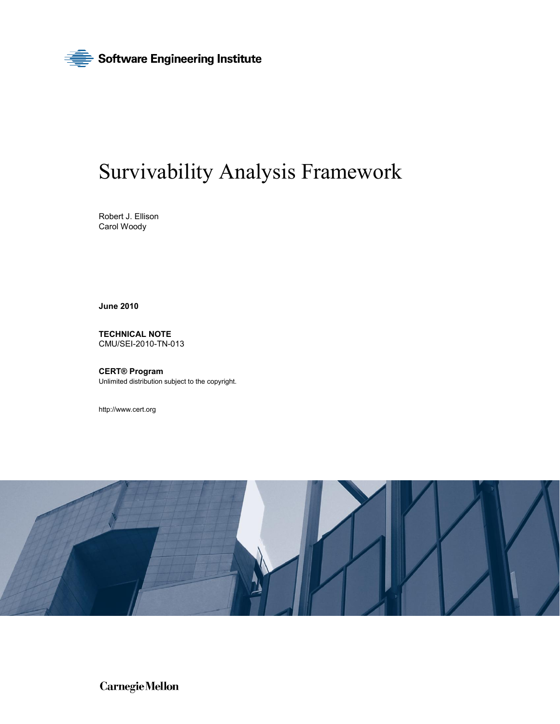

# Survivability Analysis Framework

Robert J. Ellison Carol Woody

**June 2010** 

**TECHNICAL NOTE**  CMU/SEI-2010-TN-013

**CERT® Program**  Unlimited distribution subject to the copyright.

<http://www.cert.org>



**CarnegieMellon**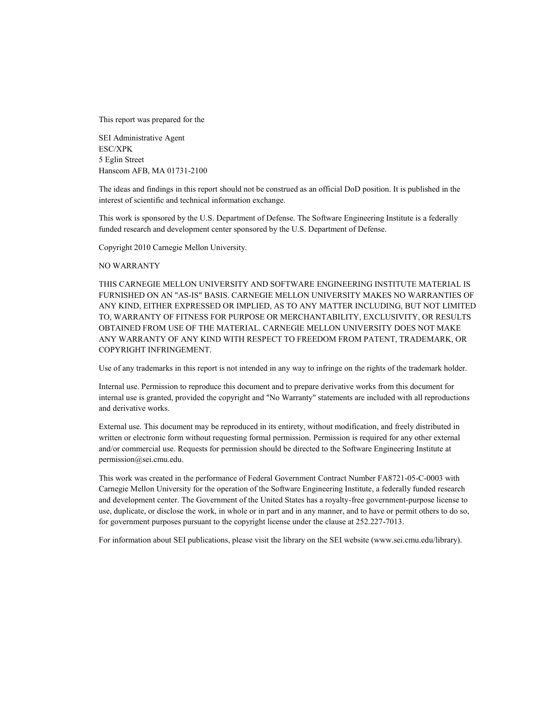This report was prepared for the

SEI Administrative Agent ESC/XPK 5 Eglin Street Hanscom AFB, MA 01731-2100

The ideas and findings in this report should not be construed as an official DoD position. It is published in the interest of scientific and technical information exchange.

This work is sponsored by the U.S. Department of Defense. The Software Engineering Institute is a federally funded research and development center sponsored by the U.S. Department of Defense.

Copyright 2010 Carnegie Mellon University.

#### NO WARRANTY

THIS CARNEGIE MELLON UNIVERSITY AND SOFTWARE ENGINEERING INSTITUTE MATERIAL IS FURNISHED ON AN "AS-IS" BASIS. CARNEGIE MELLON UNIVERSITY MAKES NO WARRANTIES OF ANY KIND, EITHER EXPRESSED OR IMPLIED, AS TO ANY MATTER INCLUDING, BUT NOT LIMITED TO, WARRANTY OF FITNESS FOR PURPOSE OR MERCHANTABILITY, EXCLUSIVITY, OR RESULTS OBTAINED FROM USE OF THE MATERIAL. CARNEGIE MELLON UNIVERSITY DOES NOT MAKE ANY WARRANTY OF ANY KIND WITH RESPECT TO FREEDOM FROM PATENT, TRADEMARK, OR COPYRIGHT INFRINGEMENT.

Use of any trademarks in this report is not intended in any way to infringe on the rights of the trademark holder.

Internal use. Permission to reproduce this document and to prepare derivative works from this document for internal use is granted, provided the copyright and "No Warranty" statements are included with all reproductions and derivative works.

External use. This document may be reproduced in its entirety, without modification, and freely distributed in written or electronic form without requesting formal permission. Permission is required for any other external and/or commercial use. Requests for permission should be directed to the Software Engineering Institute at [permission@sei.cmu.edu.](mailto:permission@sei.cmu.edu)

This work was created in the performance of Federal Government Contract Number FA8721-05-C-0003 with Carnegie Mellon University for the operation of the Software Engineering Institute, a federally funded research and development center. The Government of the United States has a royalty-free government-purpose license to use, duplicate, or disclose the work, in whole or in part and in any manner, and to have or permit others to do so, for government purposes pursuant to the copyright license under the clause at 252.227-7013.

For information about SEI publications, please visit the library on the SEI website ([www.sei.cmu.edu/library](http://www.sei.cmu.edu/library)).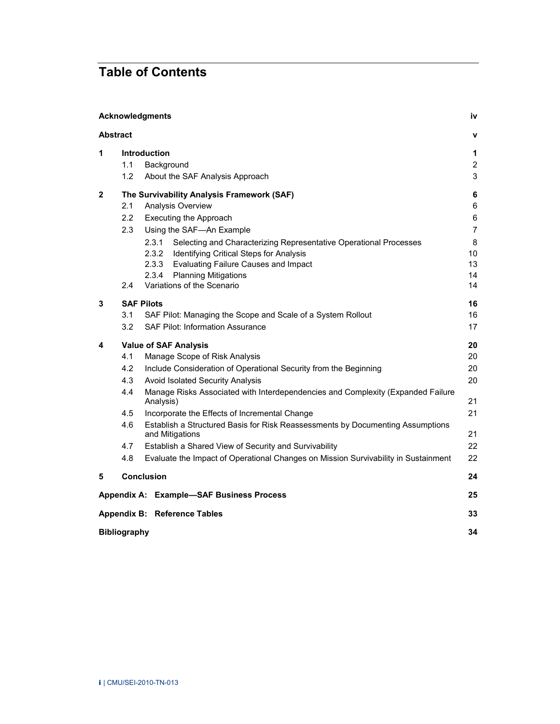# **Table of Contents**

|   |                     | Acknowledgments                                                                                   | iv             |
|---|---------------------|---------------------------------------------------------------------------------------------------|----------------|
|   | <b>Abstract</b>     |                                                                                                   | $\mathbf v$    |
| 1 |                     | <b>Introduction</b>                                                                               | 1              |
|   | 1.1                 | Background                                                                                        | $\overline{2}$ |
|   | 1.2                 | About the SAF Analysis Approach                                                                   | 3              |
| 2 |                     | The Survivability Analysis Framework (SAF)                                                        | $\bf 6$        |
|   | 2.1                 | Analysis Overview                                                                                 | 6              |
|   | 2.2                 | Executing the Approach                                                                            | $\,6\,$        |
|   | 2.3                 | Using the SAF-An Example                                                                          | $\overline{7}$ |
|   |                     | 2.3.1<br>Selecting and Characterizing Representative Operational Processes                        | 8              |
|   |                     | 2.3.2<br><b>Identifying Critical Steps for Analysis</b>                                           | 10             |
|   |                     | <b>Evaluating Failure Causes and Impact</b><br>2.3.3                                              | 13             |
|   |                     | 2.3.4<br><b>Planning Mitigations</b>                                                              | 14             |
|   | 2.4                 | Variations of the Scenario                                                                        | 14             |
| 3 |                     | <b>SAF Pilots</b>                                                                                 | 16             |
|   | 3.1                 | SAF Pilot: Managing the Scope and Scale of a System Rollout                                       | 16             |
|   | 3.2                 | <b>SAF Pilot: Information Assurance</b>                                                           | 17             |
| 4 |                     | <b>Value of SAF Analysis</b>                                                                      | 20             |
|   | 4.1                 | Manage Scope of Risk Analysis                                                                     | 20             |
|   | 4.2                 | Include Consideration of Operational Security from the Beginning                                  | 20             |
|   | 4.3                 | Avoid Isolated Security Analysis                                                                  | 20             |
|   | 4.4                 | Manage Risks Associated with Interdependencies and Complexity (Expanded Failure<br>Analysis)      | 21             |
|   | 4.5                 | Incorporate the Effects of Incremental Change                                                     | 21             |
|   | 4.6                 | Establish a Structured Basis for Risk Reassessments by Documenting Assumptions<br>and Mitigations | 21             |
|   | 4.7                 | Establish a Shared View of Security and Survivability                                             | 22             |
|   | 4.8                 | Evaluate the Impact of Operational Changes on Mission Survivability in Sustainment                | 22             |
| 5 |                     | <b>Conclusion</b>                                                                                 | 24             |
|   |                     | Appendix A: Example-SAF Business Process                                                          | 25             |
|   |                     | Appendix B: Reference Tables                                                                      | 33             |
|   | <b>Bibliography</b> |                                                                                                   | 34             |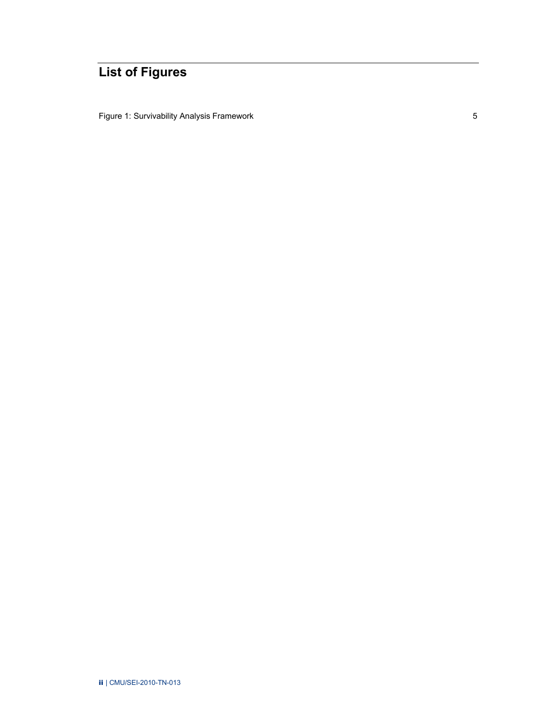# **List of Figures**

[Figure 1: Survivability Analysis Framework 5](#page-11-0)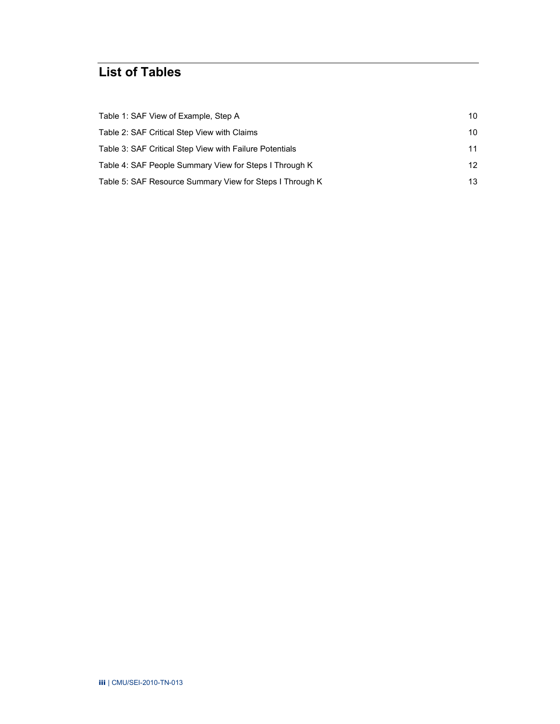# **List of Tables**

| Table 1: SAF View of Example, Step A                     | 10               |
|----------------------------------------------------------|------------------|
| Table 2: SAF Critical Step View with Claims              | 10               |
| Table 3: SAF Critical Step View with Failure Potentials  | 11               |
| Table 4: SAF People Summary View for Steps I Through K   | 12 <sup>12</sup> |
| Table 5: SAF Resource Summary View for Steps I Through K | 13               |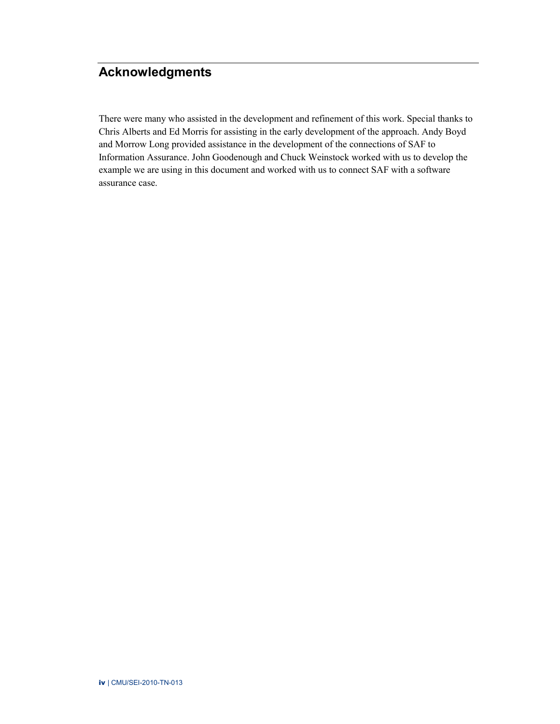# <span id="page-5-0"></span>**Acknowledgments**

There were many who assisted in the development and refinement of this work. Special thanks to Chris Alberts and Ed Morris for assisting in the early development of the approach. Andy Boyd and Morrow Long provided assistance in the development of the connections of SAF to Information Assurance. John Goodenough and Chuck Weinstock worked with us to develop the example we are using in this document and worked with us to connect SAF with a software assurance case.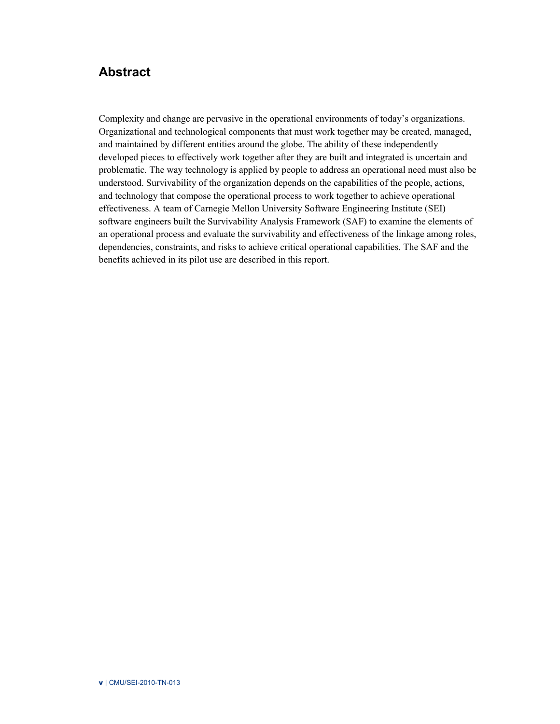# <span id="page-6-0"></span>**Abstract**

Complexity and change are pervasive in the operational environments of today's organizations. Organizational and technological components that must work together may be created, managed, and maintained by different entities around the globe. The ability of these independently developed pieces to effectively work together after they are built and integrated is uncertain and problematic. The way technology is applied by people to address an operational need must also be understood. Survivability of the organization depends on the capabilities of the people, actions, and technology that compose the operational process to work together to achieve operational effectiveness. A team of Carnegie Mellon University Software Engineering Institute (SEI) software engineers built the Survivability Analysis Framework (SAF) to examine the elements of an operational process and evaluate the survivability and effectiveness of the linkage among roles, dependencies, constraints, and risks to achieve critical operational capabilities. The SAF and the benefits achieved in its pilot use are described in this report.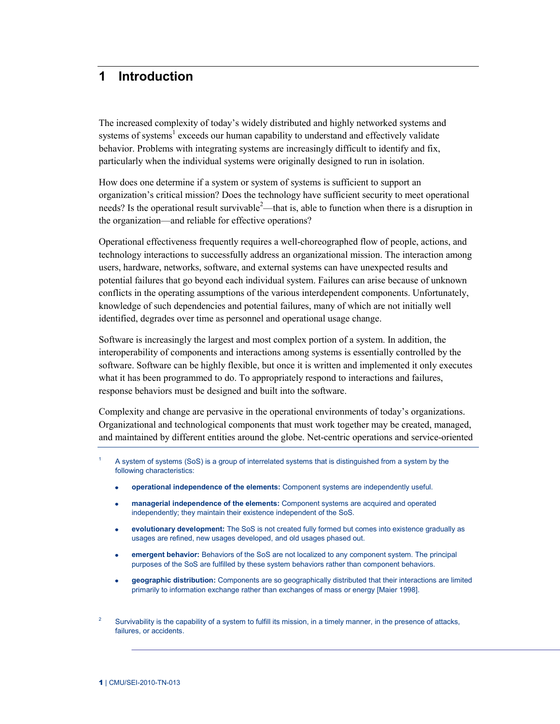# <span id="page-7-0"></span>**1 Introduction**

The increased complexity of today's widely distributed and highly networked systems and systems of systems<sup>1</sup> exceeds our human capability to understand and effectively validate behavior. Problems with integrating systems are increasingly difficult to identify and fix, particularly when the individual systems were originally designed to run in isolation.

How does one determine if a system or system of systems is sufficient to support an organization's critical mission? Does the technology have sufficient security to meet operational needs? Is the operational result survivable<sup>2</sup>—that is, able to function when there is a disruption in the organization—and reliable for effective operations?

Operational effectiveness frequently requires a well-choreographed flow of people, actions, and technology interactions to successfully address an organizational mission. The interaction among users, hardware, networks, software, and external systems can have unexpected results and potential failures that go beyond each individual system. Failures can arise because of unknown conflicts in the operating assumptions of the various interdependent components. Unfortunately, knowledge of such dependencies and potential failures, many of which are not initially well identified, degrades over time as personnel and operational usage change.

Software is increasingly the largest and most complex portion of a system. In addition, the interoperability of components and interactions among systems is essentially controlled by the software. Software can be highly flexible, but once it is written and implemented it only executes what it has been programmed to do. To appropriately respond to interactions and failures, response behaviors must be designed and built into the software.

Complexity and change are pervasive in the operational environments of today's organizations. Organizational and technological components that must work together may be created, managed, and maintained by different entities around the globe. Net-centric operations and service-oriented

- 1 A system of systems (SoS) is a group of interrelated systems that is distinguished from a system by the following characteristics:
	- **operational independence of the elements:** Component systems are independently useful.
	- **managerial independence of the elements:** Component systems are acquired and operated ä. independently; they maintain their existence independent of the SoS.
	- **evolutionary development:** The SoS is not created fully formed but comes into existence gradually as  $\bullet$ usages are refined, new usages developed, and old usages phased out.
	- **emergent behavior:** Behaviors of the SoS are not localized to any component system. The principal purposes of the SoS are fulfilled by these system behaviors rather than component behaviors.
	- **geographic distribution:** Components are so geographically distributed that their interactions are limited  $\bullet$ primarily to information exchange rather than exchanges of mass or energy [\[Maier 1998\].](https://buildsecurityin.us-cert.gov/bsi/articles/best-practices/system-strategies/881-BSI.html#dsy881-BSI_maier98)

<sup>2</sup> Survivability is the capability of a system to fulfill its mission, in a timely manner, in the presence of attacks, failures, or accidents.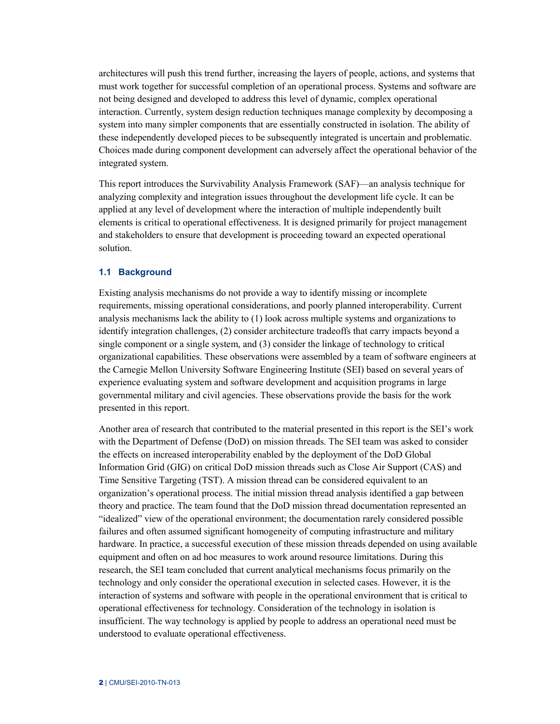architectures will push this trend further, increasing the layers of people, actions, and systems that must work together for successful completion of an operational process. Systems and software are not being designed and developed to address this level of dynamic, complex operational interaction. Currently, system design reduction techniques manage complexity by decomposing a system into many simpler components that are essentially constructed in isolation. The ability of these independently developed pieces to be subsequently integrated is uncertain and problematic. Choices made during component development can adversely affect the operational behavior of the integrated system.

This report introduces the Survivability Analysis Framework (SAF)—an analysis technique for analyzing complexity and integration issues throughout the development life cycle. It can be applied at any level of development where the interaction of multiple independently built elements is critical to operational effectiveness. It is designed primarily for project management and stakeholders to ensure that development is proceeding toward an expected operational solution.

#### <span id="page-8-0"></span>**1.1 Background**

Existing analysis mechanisms do not provide a way to identify missing or incomplete requirements, missing operational considerations, and poorly planned interoperability. Current analysis mechanisms lack the ability to (1) look across multiple systems and organizations to identify integration challenges, (2) consider architecture tradeoffs that carry impacts beyond a single component or a single system, and (3) consider the linkage of technology to critical organizational capabilities. These observations were assembled by a team of software engineers at the Carnegie Mellon University Software Engineering Institute (SEI) based on several years of experience evaluating system and software development and acquisition programs in large governmental military and civil agencies. These observations provide the basis for the work presented in this report.

Another area of research that contributed to the material presented in this report is the SEI's work with the Department of Defense (DoD) on mission threads. The SEI team was asked to consider the effects on increased interoperability enabled by the deployment of the DoD Global Information Grid (GIG) on critical DoD mission threads such as Close Air Support (CAS) and Time Sensitive Targeting (TST). A mission thread can be considered equivalent to an organization's operational process. The initial mission thread analysis identified a gap between theory and practice. The team found that the DoD mission thread documentation represented an "idealized" view of the operational environment; the documentation rarely considered possible failures and often assumed significant homogeneity of computing infrastructure and military hardware. In practice, a successful execution of these mission threads depended on using available equipment and often on ad hoc measures to work around resource limitations. During this research, the SEI team concluded that current analytical mechanisms focus primarily on the technology and only consider the operational execution in selected cases. However, it is the interaction of systems and software with people in the operational environment that is critical to operational effectiveness for technology. Consideration of the technology in isolation is insufficient. The way technology is applied by people to address an operational need must be understood to evaluate operational effectiveness.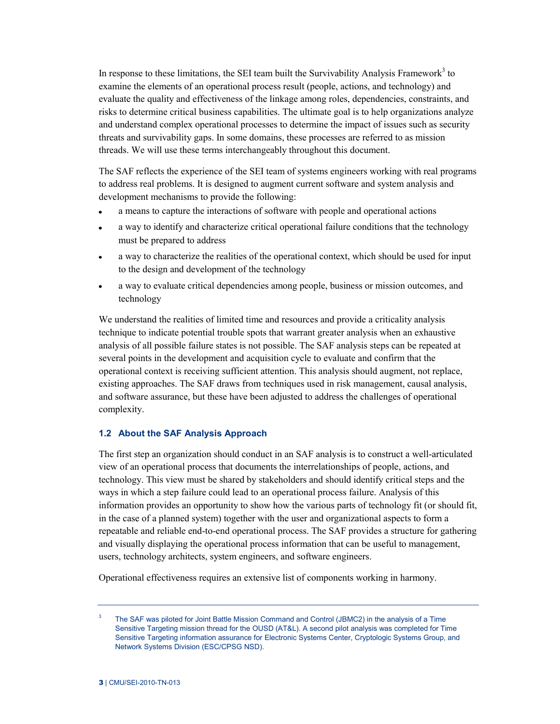In response to these limitations, the SEI team built the Survivability Analysis Framework<sup>3</sup> to examine the elements of an operational process result (people, actions, and technology) and evaluate the quality and effectiveness of the linkage among roles, dependencies, constraints, and risks to determine critical business capabilities. The ultimate goal is to help organizations analyze and understand complex operational processes to determine the impact of issues such as security threats and survivability gaps. In some domains, these processes are referred to as mission threads. We will use these terms interchangeably throughout this document.

The SAF reflects the experience of the SEI team of systems engineers working with real programs to address real problems. It is designed to augment current software and system analysis and development mechanisms to provide the following:

- a means to capture the interactions of software with people and operational actions  $\bullet$
- a way to identify and characterize critical operational failure conditions that the technology  $\bullet$ must be prepared to address
- a way to characterize the realities of the operational context, which should be used for input  $\bullet$ to the design and development of the technology
- a way to evaluate critical dependencies among people, business or mission outcomes, and  $\bullet$ technology

We understand the realities of limited time and resources and provide a criticality analysis technique to indicate potential trouble spots that warrant greater analysis when an exhaustive analysis of all possible failure states is not possible. The SAF analysis steps can be repeated at several points in the development and acquisition cycle to evaluate and confirm that the operational context is receiving sufficient attention. This analysis should augment, not replace, existing approaches. The SAF draws from techniques used in risk management, causal analysis, and software assurance, but these have been adjusted to address the challenges of operational complexity.

# <span id="page-9-0"></span>**1.2 About the SAF Analysis Approach**

The first step an organization should conduct in an SAF analysis is to construct a well-articulated view of an operational process that documents the interrelationships of people, actions, and technology. This view must be shared by stakeholders and should identify critical steps and the ways in which a step failure could lead to an operational process failure. Analysis of this information provides an opportunity to show how the various parts of technology fit (or should fit, in the case of a planned system) together with the user and organizational aspects to form a repeatable and reliable end-to-end operational process. The SAF provides a structure for gathering and visually displaying the operational process information that can be useful to management, users, technology architects, system engineers, and software engineers.

Operational effectiveness requires an extensive list of components working in harmony.

<sup>3</sup> The SAF was piloted for Joint Battle Mission Command and Control (JBMC2) in the analysis of a Time Sensitive Targeting mission thread for the OUSD (AT&L). A second pilot analysis was completed for Time Sensitive Targeting information assurance for Electronic Systems Center, Cryptologic Systems Group, and Network Systems Division (ESC/CPSG NSD).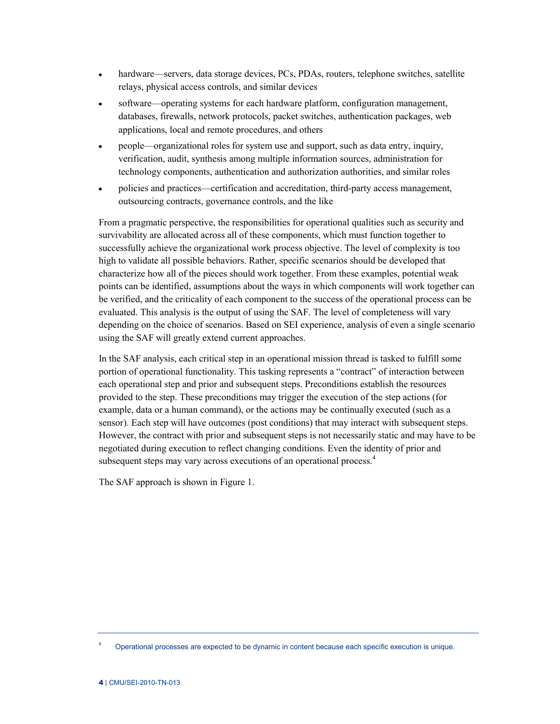- hardware—servers, data storage devices, PCs, PDAs, routers, telephone switches, satellite  $\bullet$ relays, physical access controls, and similar devices
- software—operating systems for each hardware platform, configuration management,  $\bullet$ databases, firewalls, network protocols, packet switches, authentication packages, web applications, local and remote procedures, and others
- people—organizational roles for system use and support, such as data entry, inquiry,  $\bullet$ verification, audit, synthesis among multiple information sources, administration for technology components, authentication and authorization authorities, and similar roles
- policies and practices—certification and accreditation, third-party access management,  $\bullet$ outsourcing contracts, governance controls, and the like

From a pragmatic perspective, the responsibilities for operational qualities such as security and survivability are allocated across all of these components, which must function together to successfully achieve the organizational work process objective. The level of complexity is too high to validate all possible behaviors. Rather, specific scenarios should be developed that characterize how all of the pieces should work together. From these examples, potential weak points can be identified, assumptions about the ways in which components will work together can be verified, and the criticality of each component to the success of the operational process can be evaluated. This analysis is the output of using the SAF. The level of completeness will vary depending on the choice of scenarios. Based on SEI experience, analysis of even a single scenario using the SAF will greatly extend current approaches.

In the SAF analysis, each critical step in an operational mission thread is tasked to fulfill some portion of operational functionality. This tasking represents a "contract" of interaction between each operational step and prior and subsequent steps. Preconditions establish the resources provided to the step. These preconditions may trigger the execution of the step actions (for example, data or a human command), or the actions may be continually executed (such as a sensor). Each step will have outcomes (post conditions) that may interact with subsequent steps. However, the contract with prior and subsequent steps is not necessarily static and may have to be negotiated during execution to reflect changing conditions. Even the identity of prior and subsequent steps may vary across executions of an operational process.<sup>4</sup>

The SAF approach is shown in [Figure 1.](#page-11-0)

<sup>4</sup> Operational processes are expected to be dynamic in content because each specific execution is unique.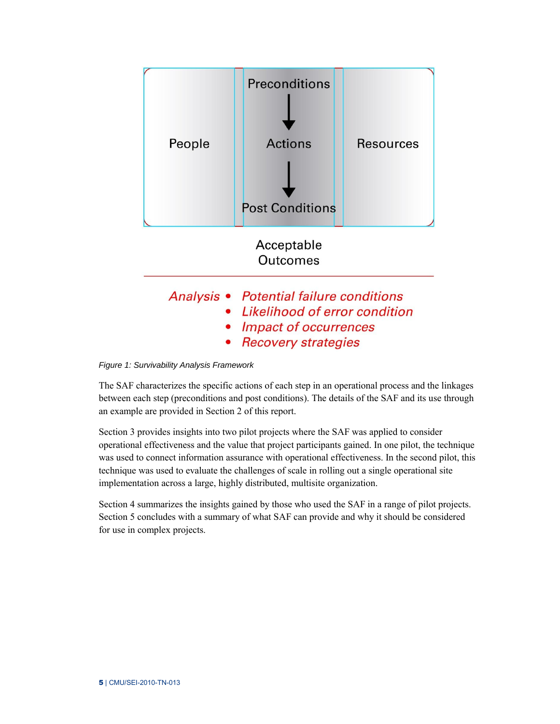

<span id="page-11-0"></span>*Figure 1: Survivability Analysis Framework* 

The SAF characterizes the specific actions of each step in an operational process and the linkages between each step (preconditions and post conditions). The details of the SAF and its use through an example are provided in Section [2](#page-12-0) of this report.

Section [3](#page-22-0) provides insights into two pilot projects where the SAF was applied to consider operational effectiveness and the value that project participants gained. In one pilot, the technique was used to connect information assurance with operational effectiveness. In the second pilot, this technique was used to evaluate the challenges of scale in rolling out a single operational site implementation across a large, highly distributed, multisite organization.

Section [4](#page-26-0) summarizes the insights gained by those who used the SAF in a range of pilot projects. Section [5](#page-30-0) concludes with a summary of what SAF can provide and why it should be considered for use in complex projects.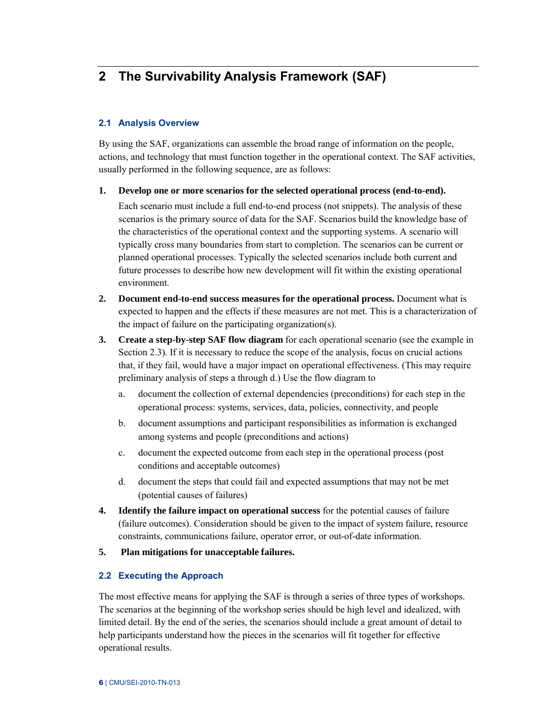# <span id="page-12-0"></span>**2 The Survivability Analysis Framework (SAF)**

# <span id="page-12-1"></span>**2.1 Analysis Overview**

By using the SAF, organizations can assemble the broad range of information on the people, actions, and technology that must function together in the operational context. The SAF activities, usually performed in the following sequence, are as follows:

# **1. Develop one or more scenarios for the selected operational process (end-to-end).**

Each scenario must include a full end-to-end process (not snippets). The analysis of these scenarios is the primary source of data for the SAF. Scenarios build the knowledge base of the characteristics of the operational context and the supporting systems. A scenario will typically cross many boundaries from start to completion. The scenarios can be current or planned operational processes. Typically the selected scenarios include both current and future processes to describe how new development will fit within the existing operational environment.

- **2. Document end-to-end success measures for the operational process.** Document what is expected to happen and the effects if these measures are not met. This is a characterization of the impact of failure on the participating organization(s).
- **3. Create a step-by-step SAF flow diagram** for each operational scenario (see the example in Section 2.3). If it is necessary to reduce the scope of the analysis, focus on crucial actions that, if they fail, would have a major impact on operational effectiveness. (This may require preliminary analysis of steps a through d.) Use the flow diagram to
	- a. document the collection of external dependencies (preconditions) for each step in the operational process: systems, services, data, policies, connectivity, and people
	- b. document assumptions and participant responsibilities as information is exchanged among systems and people (preconditions and actions)
	- c. document the expected outcome from each step in the operational process (post conditions and acceptable outcomes)
	- d. document the steps that could fail and expected assumptions that may not be met (potential causes of failures)
- **4. Identify the failure impact on operational success** for the potential causes of failure (failure outcomes). Consideration should be given to the impact of system failure, resource constraints, communications failure, operator error, or out-of-date information.
- **5. Plan mitigations for unacceptable failures.**

# <span id="page-12-2"></span>**2.2 Executing the Approach**

The most effective means for applying the SAF is through a series of three types of workshops. The scenarios at the beginning of the workshop series should be high level and idealized, with limited detail. By the end of the series, the scenarios should include a great amount of detail to help participants understand how the pieces in the scenarios will fit together for effective operational results.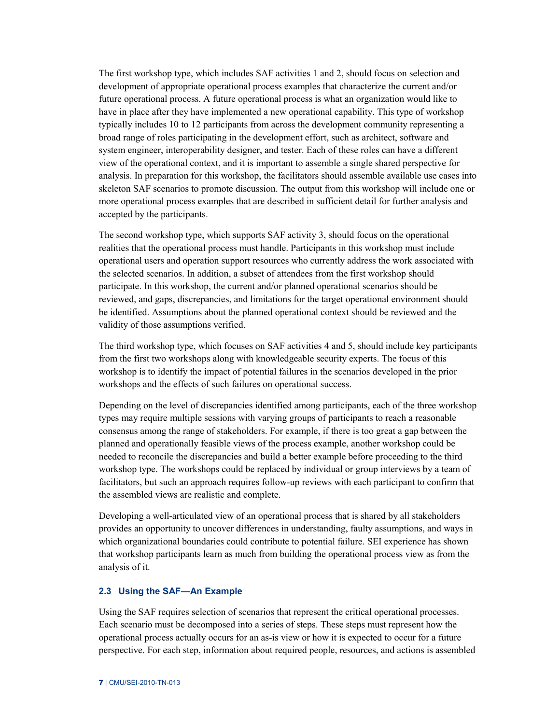The first workshop type, which includes SAF activities 1 and 2, should focus on selection and development of appropriate operational process examples that characterize the current and/or future operational process. A future operational process is what an organization would like to have in place after they have implemented a new operational capability. This type of workshop typically includes 10 to 12 participants from across the development community representing a broad range of roles participating in the development effort, such as architect, software and system engineer, interoperability designer, and tester. Each of these roles can have a different view of the operational context, and it is important to assemble a single shared perspective for analysis. In preparation for this workshop, the facilitators should assemble available use cases into skeleton SAF scenarios to promote discussion. The output from this workshop will include one or more operational process examples that are described in sufficient detail for further analysis and accepted by the participants.

The second workshop type, which supports SAF activity 3, should focus on the operational realities that the operational process must handle. Participants in this workshop must include operational users and operation support resources who currently address the work associated with the selected scenarios. In addition, a subset of attendees from the first workshop should participate. In this workshop, the current and/or planned operational scenarios should be reviewed, and gaps, discrepancies, and limitations for the target operational environment should be identified. Assumptions about the planned operational context should be reviewed and the validity of those assumptions verified.

The third workshop type, which focuses on SAF activities 4 and 5, should include key participants from the first two workshops along with knowledgeable security experts. The focus of this workshop is to identify the impact of potential failures in the scenarios developed in the prior workshops and the effects of such failures on operational success.

Depending on the level of discrepancies identified among participants, each of the three workshop types may require multiple sessions with varying groups of participants to reach a reasonable consensus among the range of stakeholders. For example, if there is too great a gap between the planned and operationally feasible views of the process example, another workshop could be needed to reconcile the discrepancies and build a better example before proceeding to the third workshop type. The workshops could be replaced by individual or group interviews by a team of facilitators, but such an approach requires follow-up reviews with each participant to confirm that the assembled views are realistic and complete.

Developing a well-articulated view of an operational process that is shared by all stakeholders provides an opportunity to uncover differences in understanding, faulty assumptions, and ways in which organizational boundaries could contribute to potential failure. SEI experience has shown that workshop participants learn as much from building the operational process view as from the analysis of it.

#### <span id="page-13-0"></span>**2.3 Using the SAF—An Example**

Using the SAF requires selection of scenarios that represent the critical operational processes. Each scenario must be decomposed into a series of steps. These steps must represent how the operational process actually occurs for an as-is view or how it is expected to occur for a future perspective. For each step, information about required people, resources, and actions is assembled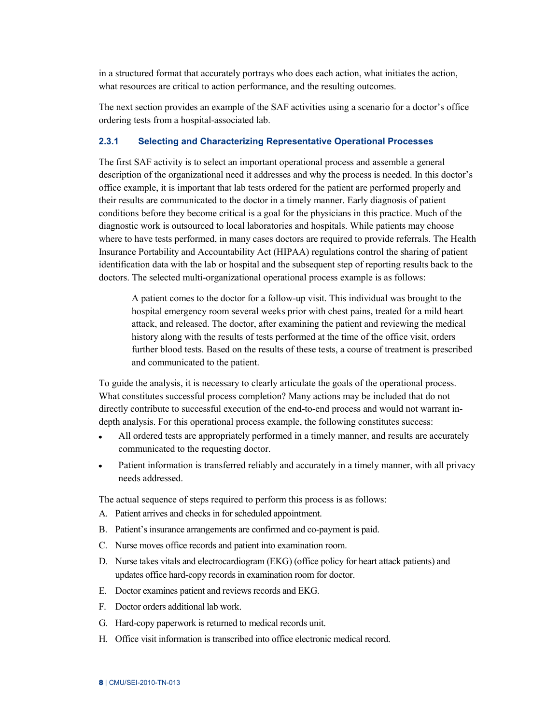in a structured format that accurately portrays who does each action, what initiates the action, what resources are critical to action performance, and the resulting outcomes.

The next section provides an example of the SAF activities using a scenario for a doctor's office ordering tests from a hospital-associated lab.

# <span id="page-14-0"></span>**2.3.1 Selecting and Characterizing Representative Operational Processes**

The first SAF activity is to select an important operational process and assemble a general description of the organizational need it addresses and why the process is needed. In this doctor's office example, it is important that lab tests ordered for the patient are performed properly and their results are communicated to the doctor in a timely manner. Early diagnosis of patient conditions before they become critical is a goal for the physicians in this practice. Much of the diagnostic work is outsourced to local laboratories and hospitals. While patients may choose where to have tests performed, in many cases doctors are required to provide referrals. The Health Insurance Portability and Accountability Act (HIPAA) regulations control the sharing of patient identification data with the lab or hospital and the subsequent step of reporting results back to the doctors. The selected multi-organizational operational process example is as follows:

A patient comes to the doctor for a follow-up visit. This individual was brought to the hospital emergency room several weeks prior with chest pains, treated for a mild heart attack, and released. The doctor, after examining the patient and reviewing the medical history along with the results of tests performed at the time of the office visit, orders further blood tests. Based on the results of these tests, a course of treatment is prescribed and communicated to the patient.

To guide the analysis, it is necessary to clearly articulate the goals of the operational process. What constitutes successful process completion? Many actions may be included that do not directly contribute to successful execution of the end-to-end process and would not warrant indepth analysis. For this operational process example, the following constitutes success:

- $\bullet$ All ordered tests are appropriately performed in a timely manner, and results are accurately communicated to the requesting doctor.
- Patient information is transferred reliably and accurately in a timely manner, with all privacy  $\bullet$ needs addressed.

The actual sequence of steps required to perform this process is as follows:

- A. Patient arrives and checks in for scheduled appointment.
- B. Patient's insurance arrangements are confirmed and co-payment is paid.
- C. Nurse moves office records and patient into examination room.
- D. Nurse takes vitals and electrocardiogram (EKG) (office policy for heart attack patients) and updates office hard-copy records in examination room for doctor.
- E. Doctor examines patient and reviews records and EKG.
- F. Doctor orders additional lab work.
- G. Hard-copy paperwork is returned to medical records unit.
- H. Office visit information is transcribed into office electronic medical record.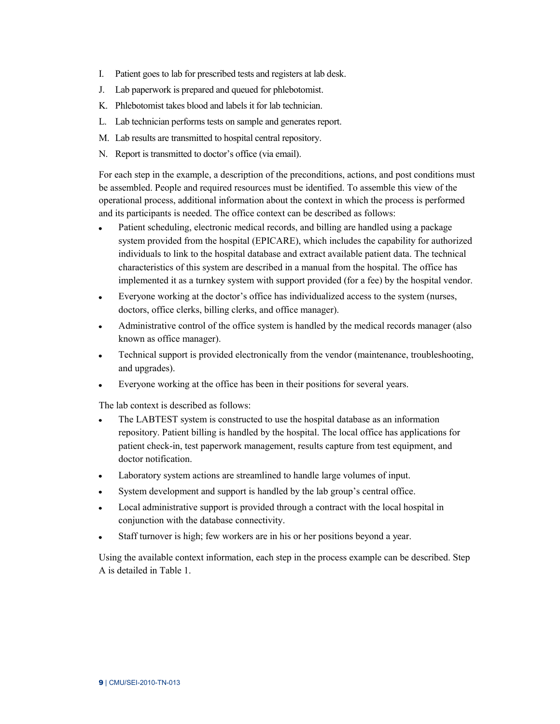- I. Patient goes to lab for prescribed tests and registers at lab desk.
- J. Lab paperwork is prepared and queued for phlebotomist.
- K. Phlebotomist takes blood and labels it for lab technician.
- L. Lab technician performs tests on sample and generates report.
- M. Lab results are transmitted to hospital central repository.
- N. Report is transmitted to doctor's office (via email).

For each step in the example, a description of the preconditions, actions, and post conditions must be assembled. People and required resources must be identified. To assemble this view of the operational process, additional information about the context in which the process is performed and its participants is needed. The office context can be described as follows:

- Patient scheduling, electronic medical records, and billing are handled using a package  $\bullet$ system provided from the hospital (EPICARE), which includes the capability for authorized individuals to link to the hospital database and extract available patient data. The technical characteristics of this system are described in a manual from the hospital. The office has implemented it as a turnkey system with support provided (for a fee) by the hospital vendor.
- Everyone working at the doctor's office has individualized access to the system (nurses,  $\bullet$ doctors, office clerks, billing clerks, and office manager).
- $\bullet$ Administrative control of the office system is handled by the medical records manager (also known as office manager).
- Technical support is provided electronically from the vendor (maintenance, troubleshooting,  $\bullet$ and upgrades).
- Everyone working at the office has been in their positions for several years.  $\bullet$

The lab context is described as follows:

- The LABTEST system is constructed to use the hospital database as an information  $\bullet$ repository. Patient billing is handled by the hospital. The local office has applications for patient check-in, test paperwork management, results capture from test equipment, and doctor notification.
- Laboratory system actions are streamlined to handle large volumes of input.  $\bullet$
- System development and support is handled by the lab group's central office.  $\bullet$
- Local administrative support is provided through a contract with the local hospital in  $\bullet$ conjunction with the database connectivity.
- Staff turnover is high; few workers are in his or her positions beyond a year.  $\bullet$

Using the available context information, each step in the process example can be described. Step A is detailed in [Table 1.](#page-16-1)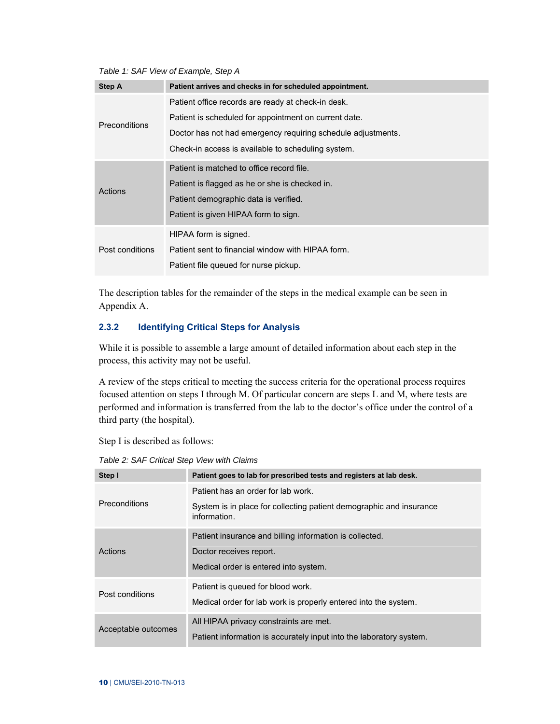<span id="page-16-1"></span>*Table 1: SAF View of Example, Step A* 

| Step A          | Patient arrives and checks in for scheduled appointment.     |
|-----------------|--------------------------------------------------------------|
|                 | Patient office records are ready at check-in desk.           |
| Preconditions   | Patient is scheduled for appointment on current date.        |
|                 | Doctor has not had emergency requiring schedule adjustments. |
|                 | Check-in access is available to scheduling system.           |
|                 | Patient is matched to office record file.                    |
| Actions         | Patient is flagged as he or she is checked in.               |
|                 | Patient demographic data is verified.                        |
|                 | Patient is given HIPAA form to sign.                         |
|                 | HIPAA form is signed.                                        |
| Post conditions | Patient sent to financial window with HIPAA form.            |
|                 | Patient file queued for nurse pickup.                        |

The description tables for the remainder of the steps in the medical example can be seen in Appendix A.

# <span id="page-16-0"></span>**2.3.2 Identifying Critical Steps for Analysis**

While it is possible to assemble a large amount of detailed information about each step in the process, this activity may not be useful.

A review of the steps critical to meeting the success criteria for the operational process requires focused attention on steps I through M. Of particular concern are steps L and M, where tests are performed and information is transferred from the lab to the doctor's office under the control of a third party (the hospital).

Step I is described as follows:

<span id="page-16-2"></span>*Table 2: SAF Critical Step View with Claims* 

| Step I               | Patient goes to lab for prescribed tests and registers at lab desk.                                                         |  |  |
|----------------------|-----------------------------------------------------------------------------------------------------------------------------|--|--|
| <b>Preconditions</b> | Patient has an order for lab work.<br>System is in place for collecting patient demographic and insurance<br>information.   |  |  |
| Actions              | Patient insurance and billing information is collected.<br>Doctor receives report.<br>Medical order is entered into system. |  |  |
| Post conditions      | Patient is queued for blood work.<br>Medical order for lab work is properly entered into the system.                        |  |  |
| Acceptable outcomes  | All HIPAA privacy constraints are met.<br>Patient information is accurately input into the laboratory system.               |  |  |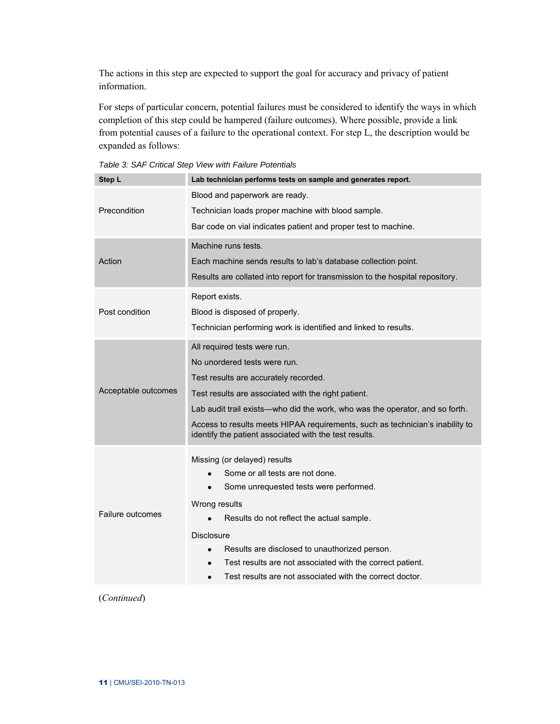The actions in this step are expected to support the goal for accuracy and privacy of patient information.

For steps of particular concern, potential failures must be considered to identify the ways in which completion of this step could be hampered (failure outcomes). Where possible, provide a link from potential causes of a failure to the operational context. For step L, the description would be expanded as follows:

| Step L                 | Lab technician performs tests on sample and generates report.                                                                           |  |  |
|------------------------|-----------------------------------------------------------------------------------------------------------------------------------------|--|--|
|                        | Blood and paperwork are ready.                                                                                                          |  |  |
| Precondition           | Technician loads proper machine with blood sample.                                                                                      |  |  |
|                        | Bar code on vial indicates patient and proper test to machine.                                                                          |  |  |
|                        | Machine runs tests.                                                                                                                     |  |  |
| Action                 | Each machine sends results to lab's database collection point.                                                                          |  |  |
|                        | Results are collated into report for transmission to the hospital repository.                                                           |  |  |
|                        | Report exists.                                                                                                                          |  |  |
| Post condition         | Blood is disposed of properly.                                                                                                          |  |  |
|                        | Technician performing work is identified and linked to results.                                                                         |  |  |
|                        | All required tests were run.                                                                                                            |  |  |
|                        | No unordered tests were run.                                                                                                            |  |  |
|                        | Test results are accurately recorded.                                                                                                   |  |  |
| Acceptable outcomes    | Test results are associated with the right patient.                                                                                     |  |  |
|                        | Lab audit trail exists—who did the work, who was the operator, and so forth.                                                            |  |  |
|                        | Access to results meets HIPAA requirements, such as technician's inability to<br>identify the patient associated with the test results. |  |  |
|                        | Missing (or delayed) results                                                                                                            |  |  |
|                        | Some or all tests are not done.                                                                                                         |  |  |
|                        | Some unrequested tests were performed.                                                                                                  |  |  |
|                        | Wrong results                                                                                                                           |  |  |
| Failure outcomes       | Results do not reflect the actual sample.                                                                                               |  |  |
|                        | <b>Disclosure</b>                                                                                                                       |  |  |
|                        | Results are disclosed to unauthorized person.                                                                                           |  |  |
|                        | Test results are not associated with the correct patient.                                                                               |  |  |
|                        | Test results are not associated with the correct doctor.                                                                                |  |  |
| $(C_{\alpha n}$ timuad |                                                                                                                                         |  |  |

<span id="page-17-0"></span>*Table 3: SAF Critical Step View with Failure Potentials* 

(*Continued*)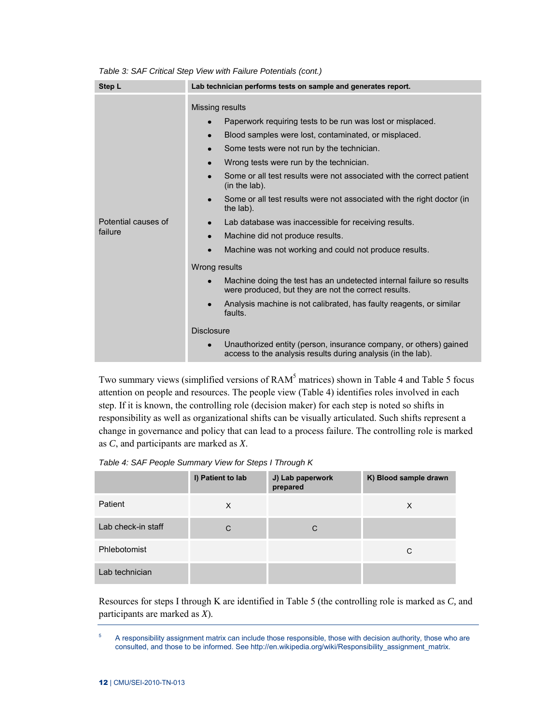| Step L                         | Lab technician performs tests on sample and generates report.                                                                                                                                                                                                                                                                                                                                                                                                                                           |  |  |
|--------------------------------|---------------------------------------------------------------------------------------------------------------------------------------------------------------------------------------------------------------------------------------------------------------------------------------------------------------------------------------------------------------------------------------------------------------------------------------------------------------------------------------------------------|--|--|
|                                | Missing results<br>Paperwork requiring tests to be run was lost or misplaced.<br>$\bullet$<br>Blood samples were lost, contaminated, or misplaced.<br>$\bullet$<br>Some tests were not run by the technician.<br>$\bullet$<br>Wrong tests were run by the technician.<br>$\bullet$<br>Some or all test results were not associated with the correct patient                                                                                                                                             |  |  |
| Potential causes of<br>failure | (in the lab).<br>Some or all test results were not associated with the right doctor (in<br>$\bullet$<br>the lab).<br>Lab database was inaccessible for receiving results.<br>$\bullet$<br>Machine did not produce results.<br>$\bullet$                                                                                                                                                                                                                                                                 |  |  |
|                                | Machine was not working and could not produce results.<br>$\bullet$<br>Wrong results<br>Machine doing the test has an undetected internal failure so results<br>$\bullet$<br>were produced, but they are not the correct results.<br>Analysis machine is not calibrated, has faulty reagents, or similar<br>$\bullet$<br>faults.<br><b>Disclosure</b><br>Unauthorized entity (person, insurance company, or others) gained<br>$\bullet$<br>access to the analysis results during analysis (in the lab). |  |  |

*Table 3: SAF Critical Step View with Failure Potentials (cont.)* 

Two summary views (simplified versions of RAM<sup>5</sup> matrices) shown in [Table 4](#page-18-0) and [Table 5](#page-19-1) focus attention on people and resources. The people view [\(Table 4\)](#page-18-0) identifies roles involved in each step. If it is known, the controlling role (decision maker) for each step is noted so shifts in responsibility as well as organizational shifts can be visually articulated. Such shifts represent a change in governance and policy that can lead to a process failure. The controlling role is marked as *C*, and participants are marked as *X*.

<span id="page-18-0"></span>*Table 4: SAF People Summary View for Steps I Through K* 

|                    | I) Patient to lab | J) Lab paperwork<br>prepared | K) Blood sample drawn |
|--------------------|-------------------|------------------------------|-----------------------|
| Patient            | X                 |                              | X                     |
| Lab check-in staff | C                 | С                            |                       |
| Phlebotomist       |                   |                              | C                     |
| Lab technician     |                   |                              |                       |

Resources for steps I through K are identified in [Table 5](#page-19-1) (the controlling role is marked as *C,* and participants are marked as *X*).

<sup>5</sup> A responsibility assignment matrix can include those responsible, those with decision authority, those who are consulted, and those to be informed. See [http://en.wikipedia.org/wiki/Responsibility\\_assignment\\_matrix.](http://en.wikipedia.org/wiki/Responsibility_assignment_matrix)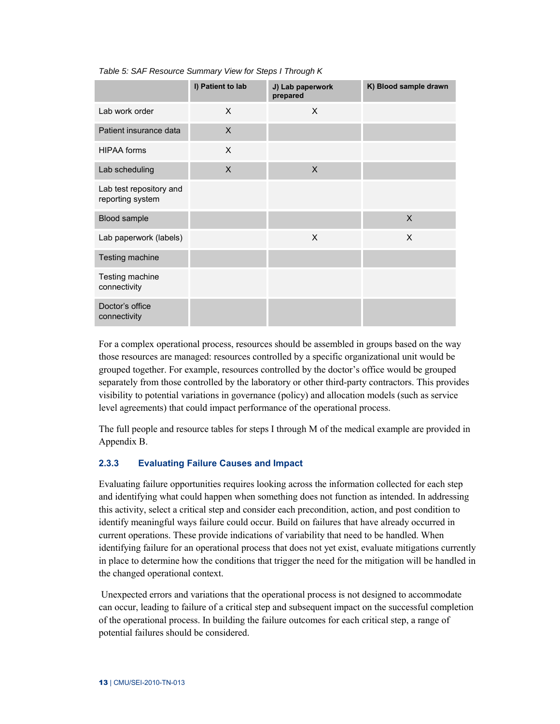|                                             | I) Patient to lab | J) Lab paperwork<br>prepared | K) Blood sample drawn |
|---------------------------------------------|-------------------|------------------------------|-----------------------|
| Lab work order                              | X                 | X                            |                       |
| Patient insurance data                      | $\times$          |                              |                       |
| <b>HIPAA</b> forms                          | X                 |                              |                       |
| Lab scheduling                              | X                 | $\mathsf{x}$                 |                       |
| Lab test repository and<br>reporting system |                   |                              |                       |
| Blood sample                                |                   |                              | $\mathsf{X}$          |
| Lab paperwork (labels)                      |                   | X                            | $\times$              |
| Testing machine                             |                   |                              |                       |
| Testing machine<br>connectivity             |                   |                              |                       |
| Doctor's office<br>connectivity             |                   |                              |                       |

#### <span id="page-19-1"></span>*Table 5: SAF Resource Summary View for Steps I Through K*

For a complex operational process, resources should be assembled in groups based on the way those resources are managed: resources controlled by a specific organizational unit would be grouped together. For example, resources controlled by the doctor's office would be grouped separately from those controlled by the laboratory or other third-party contractors. This provides visibility to potential variations in governance (policy) and allocation models (such as service level agreements) that could impact performance of the operational process.

The full people and resource tables for steps I through M of the medical example are provided in Appendix B.

# <span id="page-19-0"></span>**2.3.3 Evaluating Failure Causes and Impact**

Evaluating failure opportunities requires looking across the information collected for each step and identifying what could happen when something does not function as intended. In addressing this activity, select a critical step and consider each precondition, action, and post condition to identify meaningful ways failure could occur. Build on failures that have already occurred in current operations. These provide indications of variability that need to be handled. When identifying failure for an operational process that does not yet exist, evaluate mitigations currently in place to determine how the conditions that trigger the need for the mitigation will be handled in the changed operational context.

Unexpected errors and variations that the operational process is not designed to accommodate can occur, leading to failure of a critical step and subsequent impact on the successful completion of the operational process. In building the failure outcomes for each critical step, a range of potential failures should be considered.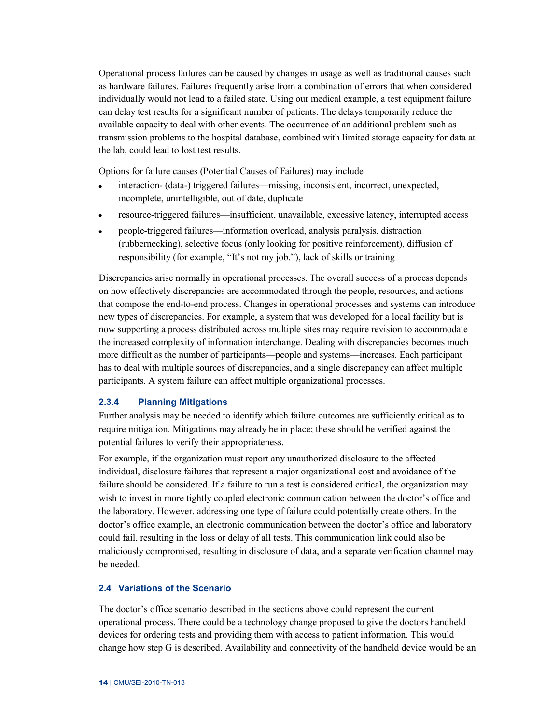Operational process failures can be caused by changes in usage as well as traditional causes such as hardware failures. Failures frequently arise from a combination of errors that when considered individually would not lead to a failed state. Using our medical example, a test equipment failure can delay test results for a significant number of patients. The delays temporarily reduce the available capacity to deal with other events. The occurrence of an additional problem such as transmission problems to the hospital database, combined with limited storage capacity for data at the lab, could lead to lost test results.

Options for failure causes (Potential Causes of Failures) may include

- interaction- (data-) triggered failures—missing, inconsistent, incorrect, unexpected,  $\bullet$ incomplete, unintelligible, out of date, duplicate
- resource-triggered failures—insufficient, unavailable, excessive latency, interrupted access  $\bullet$
- people-triggered failures—information overload, analysis paralysis, distraction  $\bullet$ (rubbernecking), selective focus (only looking for positive reinforcement), diffusion of responsibility (for example, "It's not my job."), lack of skills or training

Discrepancies arise normally in operational processes. The overall success of a process depends on how effectively discrepancies are accommodated through the people, resources, and actions that compose the end-to-end process. Changes in operational processes and systems can introduce new types of discrepancies. For example, a system that was developed for a local facility but is now supporting a process distributed across multiple sites may require revision to accommodate the increased complexity of information interchange. Dealing with discrepancies becomes much more difficult as the number of participants—people and systems—increases. Each participant has to deal with multiple sources of discrepancies, and a single discrepancy can affect multiple participants. A system failure can affect multiple organizational processes.

# <span id="page-20-0"></span>**2.3.4 Planning Mitigations**

Further analysis may be needed to identify which failure outcomes are sufficiently critical as to require mitigation. Mitigations may already be in place; these should be verified against the potential failures to verify their appropriateness.

For example, if the organization must report any unauthorized disclosure to the affected individual, disclosure failures that represent a major organizational cost and avoidance of the failure should be considered. If a failure to run a test is considered critical, the organization may wish to invest in more tightly coupled electronic communication between the doctor's office and the laboratory. However, addressing one type of failure could potentially create others. In the doctor's office example, an electronic communication between the doctor's office and laboratory could fail, resulting in the loss or delay of all tests. This communication link could also be maliciously compromised, resulting in disclosure of data, and a separate verification channel may be needed.

### <span id="page-20-1"></span>**2.4 Variations of the Scenario**

The doctor's office scenario described in the sections above could represent the current operational process. There could be a technology change proposed to give the doctors handheld devices for ordering tests and providing them with access to patient information. This would change how step G is described. Availability and connectivity of the handheld device would be an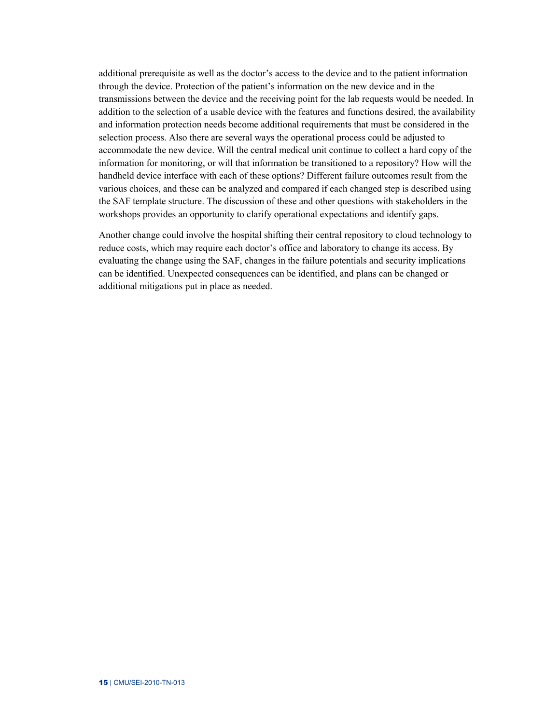additional prerequisite as well as the doctor's access to the device and to the patient information through the device. Protection of the patient's information on the new device and in the transmissions between the device and the receiving point for the lab requests would be needed. In addition to the selection of a usable device with the features and functions desired, the availability and information protection needs become additional requirements that must be considered in the selection process. Also there are several ways the operational process could be adjusted to accommodate the new device. Will the central medical unit continue to collect a hard copy of the information for monitoring, or will that information be transitioned to a repository? How will the handheld device interface with each of these options? Different failure outcomes result from the various choices, and these can be analyzed and compared if each changed step is described using the SAF template structure. The discussion of these and other questions with stakeholders in the workshops provides an opportunity to clarify operational expectations and identify gaps.

Another change could involve the hospital shifting their central repository to cloud technology to reduce costs, which may require each doctor's office and laboratory to change its access. By evaluating the change using the SAF, changes in the failure potentials and security implications can be identified. Unexpected consequences can be identified, and plans can be changed or additional mitigations put in place as needed.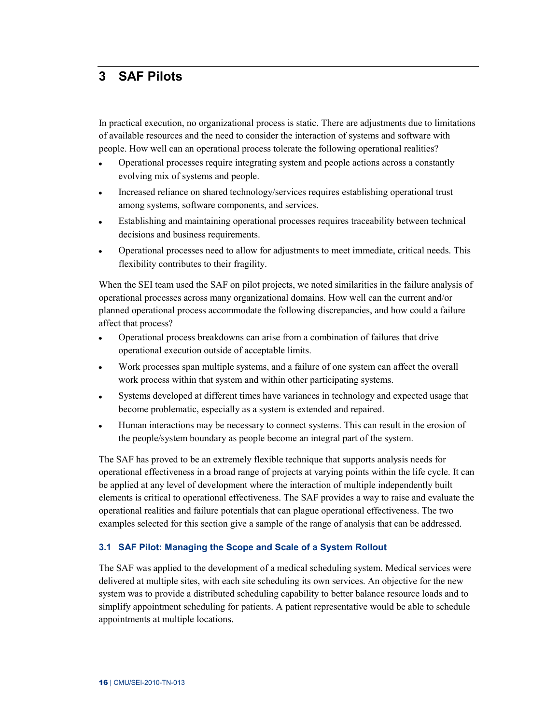# <span id="page-22-0"></span>**3 SAF Pilots**

In practical execution, no organizational process is static. There are adjustments due to limitations of available resources and the need to consider the interaction of systems and software with people. How well can an operational process tolerate the following operational realities?

- Operational processes require integrating system and people actions across a constantly  $\bullet$ evolving mix of systems and people.
- Increased reliance on shared technology/services requires establishing operational trust  $\bullet$ among systems, software components, and services.
- Establishing and maintaining operational processes requires traceability between technical  $\bullet$ decisions and business requirements.
- Operational processes need to allow for adjustments to meet immediate, critical needs. This  $\bullet$ flexibility contributes to their fragility.

When the SEI team used the SAF on pilot projects, we noted similarities in the failure analysis of operational processes across many organizational domains. How well can the current and/or planned operational process accommodate the following discrepancies, and how could a failure affect that process?

- Operational process breakdowns can arise from a combination of failures that drive  $\bullet$ operational execution outside of acceptable limits.
- Work processes span multiple systems, and a failure of one system can affect the overall  $\bullet$ work process within that system and within other participating systems.
- Systems developed at different times have variances in technology and expected usage that  $\bullet$ become problematic, especially as a system is extended and repaired.
- Human interactions may be necessary to connect systems. This can result in the erosion of  $\bullet$ the people/system boundary as people become an integral part of the system.

The SAF has proved to be an extremely flexible technique that supports analysis needs for operational effectiveness in a broad range of projects at varying points within the life cycle. It can be applied at any level of development where the interaction of multiple independently built elements is critical to operational effectiveness. The SAF provides a way to raise and evaluate the operational realities and failure potentials that can plague operational effectiveness. The two examples selected for this section give a sample of the range of analysis that can be addressed.

#### <span id="page-22-1"></span>**3.1 SAF Pilot: Managing the Scope and Scale of a System Rollout**

The SAF was applied to the development of a medical scheduling system. Medical services were delivered at multiple sites, with each site scheduling its own services. An objective for the new system was to provide a distributed scheduling capability to better balance resource loads and to simplify appointment scheduling for patients. A patient representative would be able to schedule appointments at multiple locations.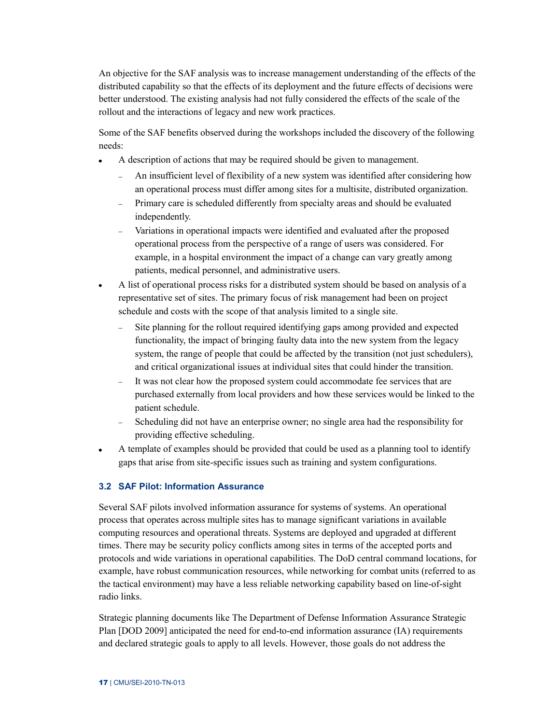An objective for the SAF analysis was to increase management understanding of the effects of the distributed capability so that the effects of its deployment and the future effects of decisions were better understood. The existing analysis had not fully considered the effects of the scale of the rollout and the interactions of legacy and new work practices.

Some of the SAF benefits observed during the workshops included the discovery of the following needs:

- A description of actions that may be required should be given to management.  $\bullet$ 
	- An insufficient level of flexibility of a new system was identified after considering how  $\equiv$  . an operational process must differ among sites for a multisite, distributed organization.
	- Primary care is scheduled differently from specialty areas and should be evaluated  $\equiv$ independently.
	- Variations in operational impacts were identified and evaluated after the proposed operational process from the perspective of a range of users was considered. For example, in a hospital environment the impact of a change can vary greatly among patients, medical personnel, and administrative users.
- $\bullet$ A list of operational process risks for a distributed system should be based on analysis of a representative set of sites. The primary focus of risk management had been on project schedule and costs with the scope of that analysis limited to a single site.
	- Site planning for the rollout required identifying gaps among provided and expected functionality, the impact of bringing faulty data into the new system from the legacy system, the range of people that could be affected by the transition (not just schedulers), and critical organizational issues at individual sites that could hinder the transition.
	- $\equiv$ It was not clear how the proposed system could accommodate fee services that are purchased externally from local providers and how these services would be linked to the patient schedule.
	- $\sim$ Scheduling did not have an enterprise owner; no single area had the responsibility for providing effective scheduling.
- A template of examples should be provided that could be used as a planning tool to identify gaps that arise from site-specific issues such as training and system configurations.

#### <span id="page-23-0"></span>**3.2 SAF Pilot: Information Assurance**

Several SAF pilots involved information assurance for systems of systems. An operational process that operates across multiple sites has to manage significant variations in available computing resources and operational threats. Systems are deployed and upgraded at different times. There may be security policy conflicts among sites in terms of the accepted ports and protocols and wide variations in operational capabilities. The DoD central command locations, for example, have robust communication resources, while networking for combat units (referred to as the tactical environment) may have a less reliable networking capability based on line-of-sight radio links.

Strategic planning documents like The Department of Defense Information Assurance Strategic Plan [DOD 2009] anticipated the need for end-to-end information assurance (IA) requirements and declared strategic goals to apply to all levels. However, those goals do not address the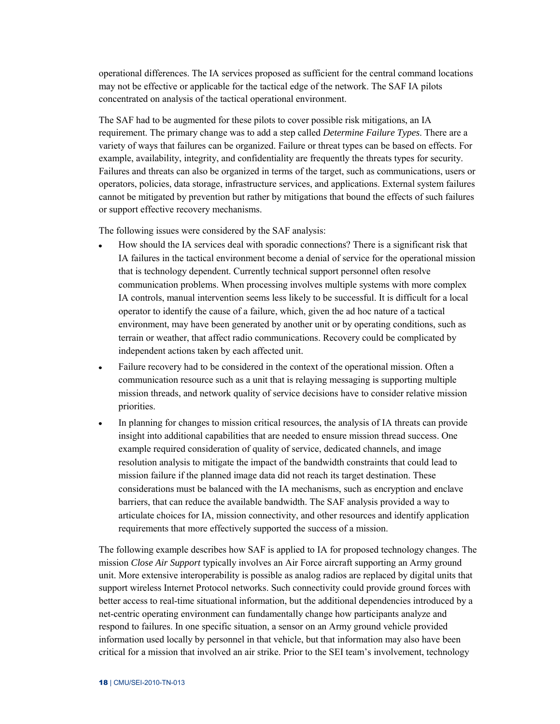operational differences. The IA services proposed as sufficient for the central command locations may not be effective or applicable for the tactical edge of the network. The SAF IA pilots concentrated on analysis of the tactical operational environment.

The SAF had to be augmented for these pilots to cover possible risk mitigations, an IA requirement. The primary change was to add a step called *Determine Failure Types*. There are a variety of ways that failures can be organized. Failure or threat types can be based on effects. For example, availability, integrity, and confidentiality are frequently the threats types for security. Failures and threats can also be organized in terms of the target, such as communications, users or operators, policies, data storage, infrastructure services, and applications. External system failures cannot be mitigated by prevention but rather by mitigations that bound the effects of such failures or support effective recovery mechanisms.

The following issues were considered by the SAF analysis:

- How should the IA services deal with sporadic connections? There is a significant risk that  $\bullet$ IA failures in the tactical environment become a denial of service for the operational mission that is technology dependent. Currently technical support personnel often resolve communication problems. When processing involves multiple systems with more complex IA controls, manual intervention seems less likely to be successful. It is difficult for a local operator to identify the cause of a failure, which, given the ad hoc nature of a tactical environment, may have been generated by another unit or by operating conditions, such as terrain or weather, that affect radio communications. Recovery could be complicated by independent actions taken by each affected unit.
- $\bullet$ Failure recovery had to be considered in the context of the operational mission. Often a communication resource such as a unit that is relaying messaging is supporting multiple mission threads, and network quality of service decisions have to consider relative mission priorities.
- In planning for changes to mission critical resources, the analysis of IA threats can provide  $\bullet$ insight into additional capabilities that are needed to ensure mission thread success. One example required consideration of quality of service, dedicated channels, and image resolution analysis to mitigate the impact of the bandwidth constraints that could lead to mission failure if the planned image data did not reach its target destination. These considerations must be balanced with the IA mechanisms, such as encryption and enclave barriers, that can reduce the available bandwidth. The SAF analysis provided a way to articulate choices for IA, mission connectivity, and other resources and identify application requirements that more effectively supported the success of a mission.

The following example describes how SAF is applied to IA for proposed technology changes. The mission *Close Air Support* typically involves an Air Force aircraft supporting an Army ground unit. More extensive interoperability is possible as analog radios are replaced by digital units that support wireless Internet Protocol networks. Such connectivity could provide ground forces with better access to real-time situational information, but the additional dependencies introduced by a net-centric operating environment can fundamentally change how participants analyze and respond to failures. In one specific situation, a sensor on an Army ground vehicle provided information used locally by personnel in that vehicle, but that information may also have been critical for a mission that involved an air strike. Prior to the SEI team's involvement, technology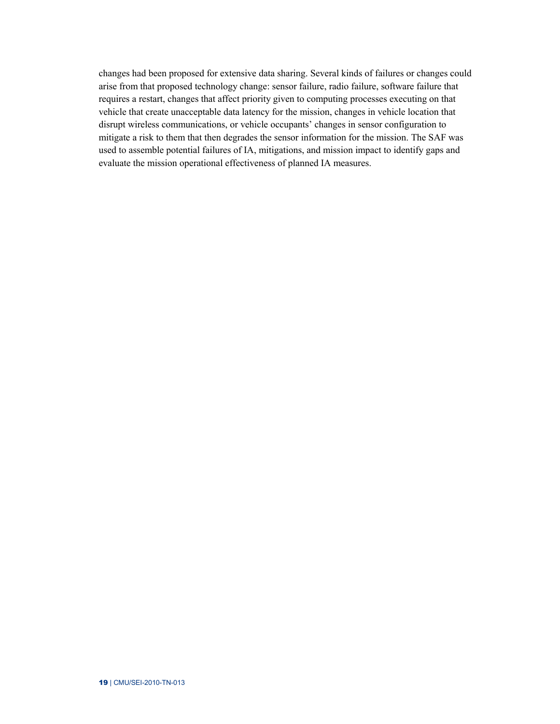changes had been proposed for extensive data sharing. Several kinds of failures or changes could arise from that proposed technology change: sensor failure, radio failure, software failure that requires a restart, changes that affect priority given to computing processes executing on that vehicle that create unacceptable data latency for the mission, changes in vehicle location that disrupt wireless communications, or vehicle occupants' changes in sensor configuration to mitigate a risk to them that then degrades the sensor information for the mission. The SAF was used to assemble potential failures of IA, mitigations, and mission impact to identify gaps and evaluate the mission operational effectiveness of planned IA measures.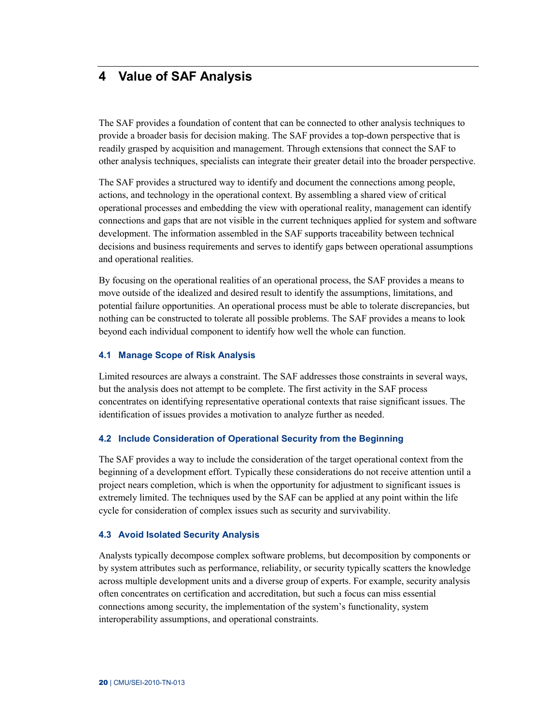# <span id="page-26-0"></span>**4 Value of SAF Analysis**

The SAF provides a foundation of content that can be connected to other analysis techniques to provide a broader basis for decision making. The SAF provides a top-down perspective that is readily grasped by acquisition and management. Through extensions that connect the SAF to other analysis techniques, specialists can integrate their greater detail into the broader perspective.

The SAF provides a structured way to identify and document the connections among people, actions, and technology in the operational context. By assembling a shared view of critical operational processes and embedding the view with operational reality, management can identify connections and gaps that are not visible in the current techniques applied for system and software development. The information assembled in the SAF supports traceability between technical decisions and business requirements and serves to identify gaps between operational assumptions and operational realities.

By focusing on the operational realities of an operational process, the SAF provides a means to move outside of the idealized and desired result to identify the assumptions, limitations, and potential failure opportunities. An operational process must be able to tolerate discrepancies, but nothing can be constructed to tolerate all possible problems. The SAF provides a means to look beyond each individual component to identify how well the whole can function.

#### <span id="page-26-1"></span>**4.1 Manage Scope of Risk Analysis**

Limited resources are always a constraint. The SAF addresses those constraints in several ways, but the analysis does not attempt to be complete. The first activity in the SAF process concentrates on identifying representative operational contexts that raise significant issues. The identification of issues provides a motivation to analyze further as needed.

#### <span id="page-26-2"></span>**4.2 Include Consideration of Operational Security from the Beginning**

The SAF provides a way to include the consideration of the target operational context from the beginning of a development effort. Typically these considerations do not receive attention until a project nears completion, which is when the opportunity for adjustment to significant issues is extremely limited. The techniques used by the SAF can be applied at any point within the life cycle for consideration of complex issues such as security and survivability.

#### <span id="page-26-3"></span>**4.3 Avoid Isolated Security Analysis**

Analysts typically decompose complex software problems, but decomposition by components or by system attributes such as performance, reliability, or security typically scatters the knowledge across multiple development units and a diverse group of experts. For example, security analysis often concentrates on certification and accreditation, but such a focus can miss essential connections among security, the implementation of the system's functionality, system interoperability assumptions, and operational constraints.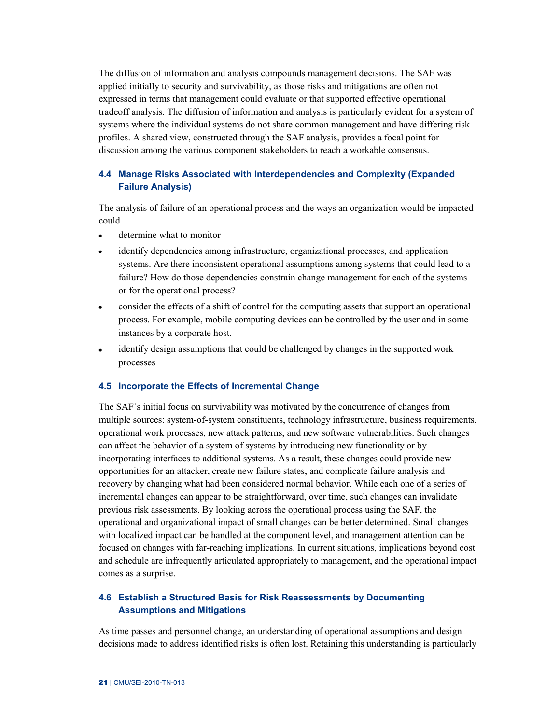The diffusion of information and analysis compounds management decisions. The SAF was applied initially to security and survivability, as those risks and mitigations are often not expressed in terms that management could evaluate or that supported effective operational tradeoff analysis. The diffusion of information and analysis is particularly evident for a system of systems where the individual systems do not share common management and have differing risk profiles. A shared view, constructed through the SAF analysis, provides a focal point for discussion among the various component stakeholders to reach a workable consensus.

### <span id="page-27-0"></span>**4.4 Manage Risks Associated with Interdependencies and Complexity (Expanded Failure Analysis)**

The analysis of failure of an operational process and the ways an organization would be impacted could

- determine what to monitor  $\overline{a}$
- identify dependencies among infrastructure, organizational processes, and application  $\bullet$ systems. Are there inconsistent operational assumptions among systems that could lead to a failure? How do those dependencies constrain change management for each of the systems or for the operational process?
- consider the effects of a shift of control for the computing assets that support an operational  $\bullet$ process. For example, mobile computing devices can be controlled by the user and in some instances by a corporate host.
- $\bullet$ identify design assumptions that could be challenged by changes in the supported work processes

#### <span id="page-27-1"></span>**4.5 Incorporate the Effects of Incremental Change**

The SAF's initial focus on survivability was motivated by the concurrence of changes from multiple sources: system-of-system constituents, technology infrastructure, business requirements, operational work processes, new attack patterns, and new software vulnerabilities. Such changes can affect the behavior of a system of systems by introducing new functionality or by incorporating interfaces to additional systems. As a result, these changes could provide new opportunities for an attacker, create new failure states, and complicate failure analysis and recovery by changing what had been considered normal behavior. While each one of a series of incremental changes can appear to be straightforward, over time, such changes can invalidate previous risk assessments. By looking across the operational process using the SAF, the operational and organizational impact of small changes can be better determined. Small changes with localized impact can be handled at the component level, and management attention can be focused on changes with far-reaching implications. In current situations, implications beyond cost and schedule are infrequently articulated appropriately to management, and the operational impact comes as a surprise.

# <span id="page-27-2"></span>**4.6 Establish a Structured Basis for Risk Reassessments by Documenting Assumptions and Mitigations**

As time passes and personnel change, an understanding of operational assumptions and design decisions made to address identified risks is often lost. Retaining this understanding is particularly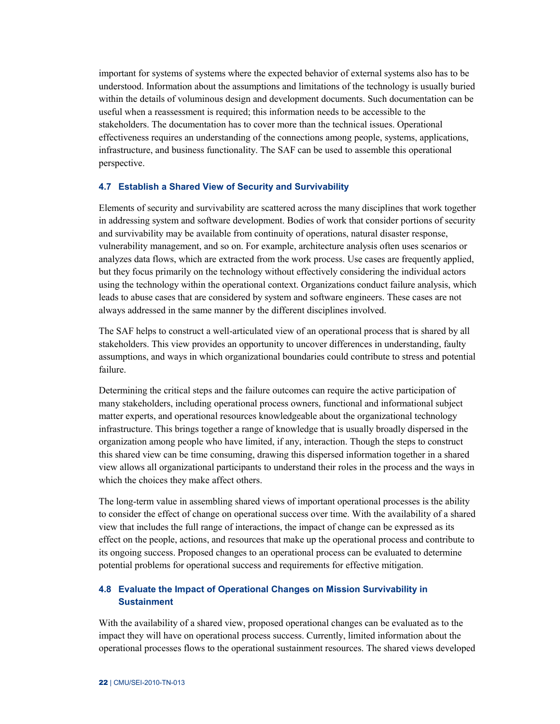important for systems of systems where the expected behavior of external systems also has to be understood. Information about the assumptions and limitations of the technology is usually buried within the details of voluminous design and development documents. Such documentation can be useful when a reassessment is required; this information needs to be accessible to the stakeholders. The documentation has to cover more than the technical issues. Operational effectiveness requires an understanding of the connections among people, systems, applications, infrastructure, and business functionality. The SAF can be used to assemble this operational perspective.

#### <span id="page-28-0"></span>**4.7 Establish a Shared View of Security and Survivability**

Elements of security and survivability are scattered across the many disciplines that work together in addressing system and software development. Bodies of work that consider portions of security and survivability may be available from continuity of operations, natural disaster response, vulnerability management, and so on. For example, architecture analysis often uses scenarios or analyzes data flows, which are extracted from the work process. Use cases are frequently applied, but they focus primarily on the technology without effectively considering the individual actors using the technology within the operational context. Organizations conduct failure analysis, which leads to abuse cases that are considered by system and software engineers. These cases are not always addressed in the same manner by the different disciplines involved.

The SAF helps to construct a well-articulated view of an operational process that is shared by all stakeholders. This view provides an opportunity to uncover differences in understanding, faulty assumptions, and ways in which organizational boundaries could contribute to stress and potential failure.

Determining the critical steps and the failure outcomes can require the active participation of many stakeholders, including operational process owners, functional and informational subject matter experts, and operational resources knowledgeable about the organizational technology infrastructure. This brings together a range of knowledge that is usually broadly dispersed in the organization among people who have limited, if any, interaction. Though the steps to construct this shared view can be time consuming, drawing this dispersed information together in a shared view allows all organizational participants to understand their roles in the process and the ways in which the choices they make affect others.

The long-term value in assembling shared views of important operational processes is the ability to consider the effect of change on operational success over time. With the availability of a shared view that includes the full range of interactions, the impact of change can be expressed as its effect on the people, actions, and resources that make up the operational process and contribute to its ongoing success. Proposed changes to an operational process can be evaluated to determine potential problems for operational success and requirements for effective mitigation.

# <span id="page-28-1"></span>**4.8 Evaluate the Impact of Operational Changes on Mission Survivability in Sustainment**

With the availability of a shared view, proposed operational changes can be evaluated as to the impact they will have on operational process success. Currently, limited information about the operational processes flows to the operational sustainment resources. The shared views developed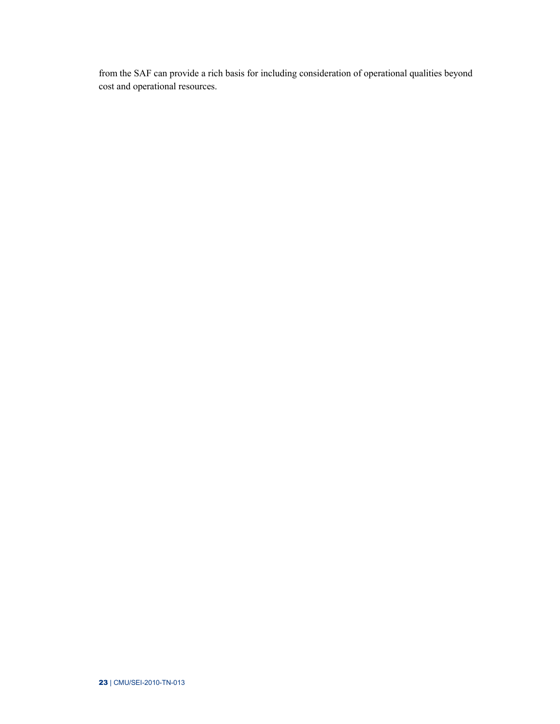from the SAF can provide a rich basis for including consideration of operational qualities beyond cost and operational resources.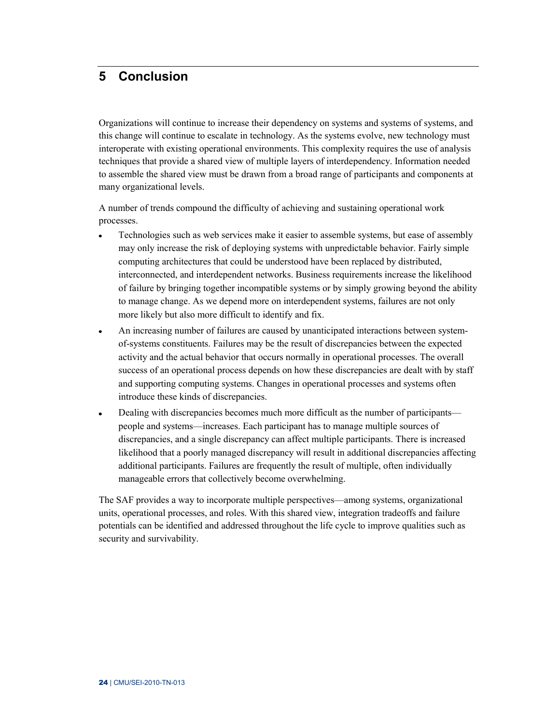# <span id="page-30-0"></span>**5 Conclusion**

Organizations will continue to increase their dependency on systems and systems of systems, and this change will continue to escalate in technology. As the systems evolve, new technology must interoperate with existing operational environments. This complexity requires the use of analysis techniques that provide a shared view of multiple layers of interdependency. Information needed to assemble the shared view must be drawn from a broad range of participants and components at many organizational levels.

A number of trends compound the difficulty of achieving and sustaining operational work processes.

- Technologies such as web services make it easier to assemble systems, but ease of assembly  $\ddot{\phantom{0}}$ may only increase the risk of deploying systems with unpredictable behavior. Fairly simple computing architectures that could be understood have been replaced by distributed, interconnected, and interdependent networks. Business requirements increase the likelihood of failure by bringing together incompatible systems or by simply growing beyond the ability to manage change. As we depend more on interdependent systems, failures are not only more likely but also more difficult to identify and fix.
- An increasing number of failures are caused by unanticipated interactions between system- $\bullet$ of-systems constituents. Failures may be the result of discrepancies between the expected activity and the actual behavior that occurs normally in operational processes. The overall success of an operational process depends on how these discrepancies are dealt with by staff and supporting computing systems. Changes in operational processes and systems often introduce these kinds of discrepancies.
- Dealing with discrepancies becomes much more difficult as the number of participants—  $\bullet$ people and systems—increases. Each participant has to manage multiple sources of discrepancies, and a single discrepancy can affect multiple participants. There is increased likelihood that a poorly managed discrepancy will result in additional discrepancies affecting additional participants. Failures are frequently the result of multiple, often individually manageable errors that collectively become overwhelming.

The SAF provides a way to incorporate multiple perspectives—among systems, organizational units, operational processes, and roles. With this shared view, integration tradeoffs and failure potentials can be identified and addressed throughout the life cycle to improve qualities such as security and survivability.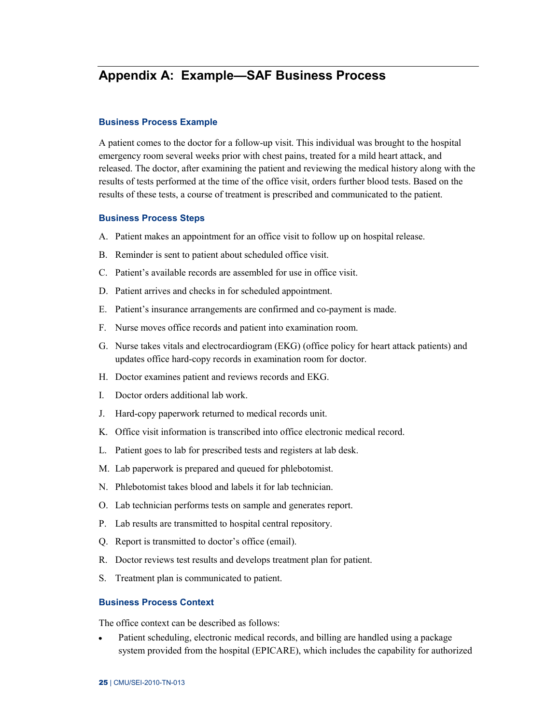# <span id="page-31-0"></span>**Appendix A: Example—SAF Business Process**

#### **Business Process Example**

A patient comes to the doctor for a follow-up visit. This individual was brought to the hospital emergency room several weeks prior with chest pains, treated for a mild heart attack, and released. The doctor, after examining the patient and reviewing the medical history along with the results of tests performed at the time of the office visit, orders further blood tests. Based on the results of these tests, a course of treatment is prescribed and communicated to the patient.

#### **Business Process Steps**

- A. Patient makes an appointment for an office visit to follow up on hospital release.
- B. Reminder is sent to patient about scheduled office visit.
- C. Patient's available records are assembled for use in office visit.
- D. Patient arrives and checks in for scheduled appointment.
- E. Patient's insurance arrangements are confirmed and co-payment is made.
- F. Nurse moves office records and patient into examination room.
- G. Nurse takes vitals and electrocardiogram (EKG) (office policy for heart attack patients) and updates office hard-copy records in examination room for doctor.
- H. Doctor examines patient and reviews records and EKG.
- I. Doctor orders additional lab work.
- J. Hard-copy paperwork returned to medical records unit.
- K. Office visit information is transcribed into office electronic medical record.
- L. Patient goes to lab for prescribed tests and registers at lab desk.
- M. Lab paperwork is prepared and queued for phlebotomist.
- N. Phlebotomist takes blood and labels it for lab technician.
- O. Lab technician performs tests on sample and generates report.
- P. Lab results are transmitted to hospital central repository.
- Q. Report is transmitted to doctor's office (email).
- R. Doctor reviews test results and develops treatment plan for patient.
- S. Treatment plan is communicated to patient.

#### **Business Process Context**

The office context can be described as follows:

Patient scheduling, electronic medical records, and billing are handled using a package  $\bullet$ system provided from the hospital (EPICARE), which includes the capability for authorized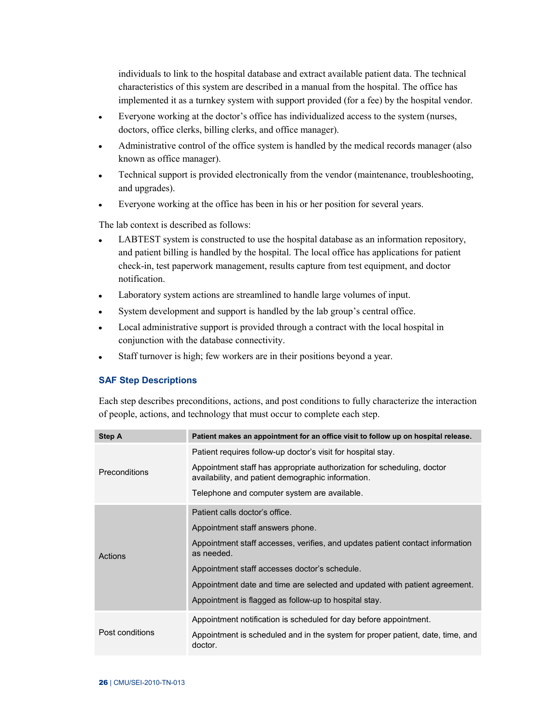individuals to link to the hospital database and extract available patient data. The technical characteristics of this system are described in a manual from the hospital. The office has implemented it as a turnkey system with support provided (for a fee) by the hospital vendor.

- Everyone working at the doctor's office has individualized access to the system (nurses,  $\bullet$ doctors, office clerks, billing clerks, and office manager).
- Administrative control of the office system is handled by the medical records manager (also  $\bullet$ known as office manager).
- $\bullet$ Technical support is provided electronically from the vendor (maintenance, troubleshooting, and upgrades).
- Everyone working at the office has been in his or her position for several years.  $\bullet$

The lab context is described as follows:

- LABTEST system is constructed to use the hospital database as an information repository,  $\bullet$ and patient billing is handled by the hospital. The local office has applications for patient check-in, test paperwork management, results capture from test equipment, and doctor notification.
- Laboratory system actions are streamlined to handle large volumes of input.  $\bullet$
- System development and support is handled by the lab group's central office.  $\bullet$
- Local administrative support is provided through a contract with the local hospital in  $\bullet$ conjunction with the database connectivity.
- Staff turnover is high; few workers are in their positions beyond a year.  $\bullet$

#### **SAF Step Descriptions**

Each step describes preconditions, actions, and post conditions to fully characterize the interaction of people, actions, and technology that must occur to complete each step.

| <b>Step A</b>        | Patient makes an appointment for an office visit to follow up on hospital release.                                           |
|----------------------|------------------------------------------------------------------------------------------------------------------------------|
|                      | Patient requires follow-up doctor's visit for hospital stay.                                                                 |
| <b>Preconditions</b> | Appointment staff has appropriate authorization for scheduling, doctor<br>availability, and patient demographic information. |
|                      | Telephone and computer system are available.                                                                                 |
|                      | Patient calls doctor's office.                                                                                               |
|                      | Appointment staff answers phone.                                                                                             |
| Actions              | Appointment staff accesses, verifies, and updates patient contact information<br>as needed.                                  |
|                      | Appointment staff accesses doctor's schedule.                                                                                |
|                      | Appointment date and time are selected and updated with patient agreement.                                                   |
|                      | Appointment is flagged as follow-up to hospital stay.                                                                        |
|                      | Appointment notification is scheduled for day before appointment.                                                            |
| Post conditions      | Appointment is scheduled and in the system for proper patient, date, time, and<br>doctor.                                    |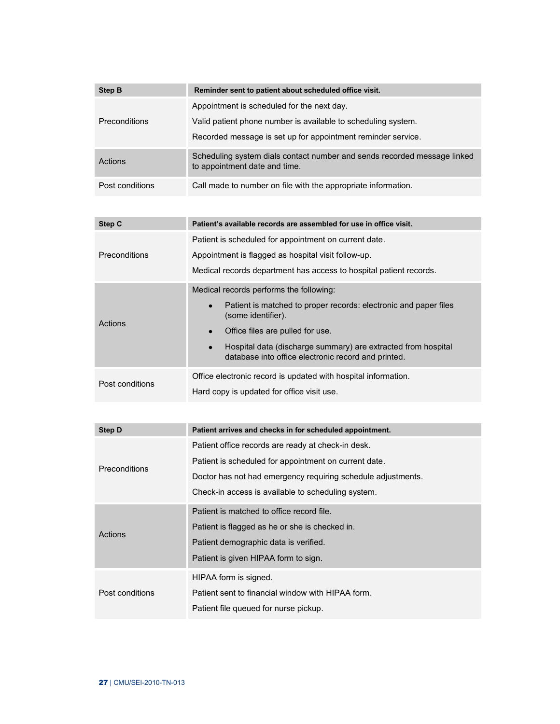| <b>Step B</b>        | Reminder sent to patient about scheduled office visit.                                                                                                                      |
|----------------------|-----------------------------------------------------------------------------------------------------------------------------------------------------------------------------|
| <b>Preconditions</b> | Appointment is scheduled for the next day.<br>Valid patient phone number is available to scheduling system.<br>Recorded message is set up for appointment reminder service. |
| Actions              | Scheduling system dials contact number and sends recorded message linked<br>to appointment date and time.                                                                   |
| Post conditions      | Call made to number on file with the appropriate information.                                                                                                               |

| Step C          | Patient's available records are assembled for use in office visit.                                                                                                                                                                                                                                         |
|-----------------|------------------------------------------------------------------------------------------------------------------------------------------------------------------------------------------------------------------------------------------------------------------------------------------------------------|
| Preconditions   | Patient is scheduled for appointment on current date.<br>Appointment is flagged as hospital visit follow-up.<br>Medical records department has access to hospital patient records.                                                                                                                         |
| Actions         | Medical records performs the following:<br>Patient is matched to proper records: electronic and paper files<br>(some identifier).<br>Office files are pulled for use.<br>Hospital data (discharge summary) are extracted from hospital<br>$\bullet$<br>database into office electronic record and printed. |
| Post conditions | Office electronic record is updated with hospital information.<br>Hard copy is updated for office visit use.                                                                                                                                                                                               |

| Step D               | Patient arrives and checks in for scheduled appointment.     |
|----------------------|--------------------------------------------------------------|
|                      | Patient office records are ready at check-in desk.           |
| <b>Preconditions</b> | Patient is scheduled for appointment on current date.        |
|                      | Doctor has not had emergency requiring schedule adjustments. |
|                      | Check-in access is available to scheduling system.           |
|                      | Patient is matched to office record file.                    |
| Actions              | Patient is flagged as he or she is checked in.               |
|                      | Patient demographic data is verified.                        |
|                      | Patient is given HIPAA form to sign.                         |
|                      | HIPAA form is signed.                                        |
| Post conditions      | Patient sent to financial window with HIPAA form.            |
|                      | Patient file queued for nurse pickup.                        |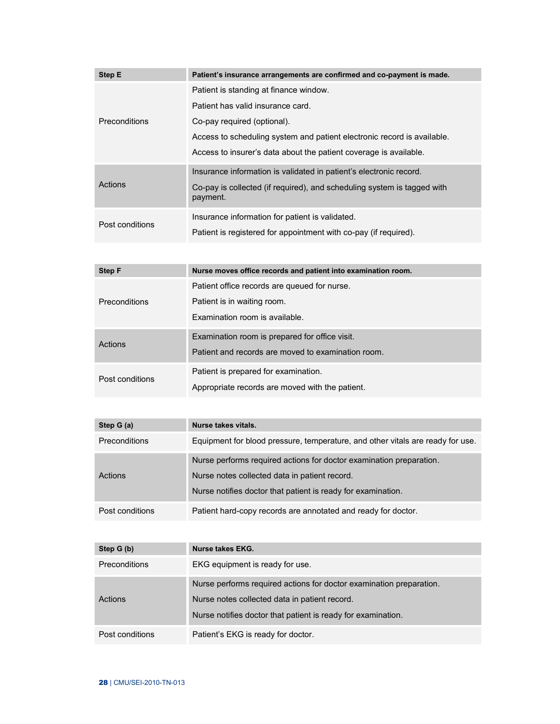| <b>Step E</b>   | Patient's insurance arrangements are confirmed and co-payment is made.              |
|-----------------|-------------------------------------------------------------------------------------|
| Preconditions   | Patient is standing at finance window.                                              |
|                 | Patient has valid insurance card.                                                   |
|                 | Co-pay required (optional).                                                         |
|                 | Access to scheduling system and patient electronic record is available.             |
|                 | Access to insurer's data about the patient coverage is available.                   |
| Actions         | Insurance information is validated in patient's electronic record.                  |
|                 | Co-pay is collected (if required), and scheduling system is tagged with<br>payment. |
| Post conditions | Insurance information for patient is validated.                                     |
|                 | Patient is registered for appointment with co-pay (if required).                    |

| <b>Step F</b>   | Nurse moves office records and patient into examination room.                                                 |
|-----------------|---------------------------------------------------------------------------------------------------------------|
| Preconditions   | Patient office records are queued for nurse.<br>Patient is in waiting room.<br>Examination room is available. |
| Actions         | Examination room is prepared for office visit.<br>Patient and records are moved to examination room.          |
| Post conditions | Patient is prepared for examination.<br>Appropriate records are moved with the patient.                       |

| Step G (a)           | Nurse takes vitals.                                                                                                                                                                  |
|----------------------|--------------------------------------------------------------------------------------------------------------------------------------------------------------------------------------|
| <b>Preconditions</b> | Equipment for blood pressure, temperature, and other vitals are ready for use.                                                                                                       |
| Actions              | Nurse performs required actions for doctor examination preparation.<br>Nurse notes collected data in patient record.<br>Nurse notifies doctor that patient is ready for examination. |
| Post conditions      | Patient hard-copy records are annotated and ready for doctor.                                                                                                                        |

| Step G (b)           | Nurse takes EKG.                                                                                                                                                                     |
|----------------------|--------------------------------------------------------------------------------------------------------------------------------------------------------------------------------------|
| <b>Preconditions</b> | EKG equipment is ready for use.                                                                                                                                                      |
| Actions              | Nurse performs required actions for doctor examination preparation.<br>Nurse notes collected data in patient record.<br>Nurse notifies doctor that patient is ready for examination. |
| Post conditions      | Patient's EKG is ready for doctor.                                                                                                                                                   |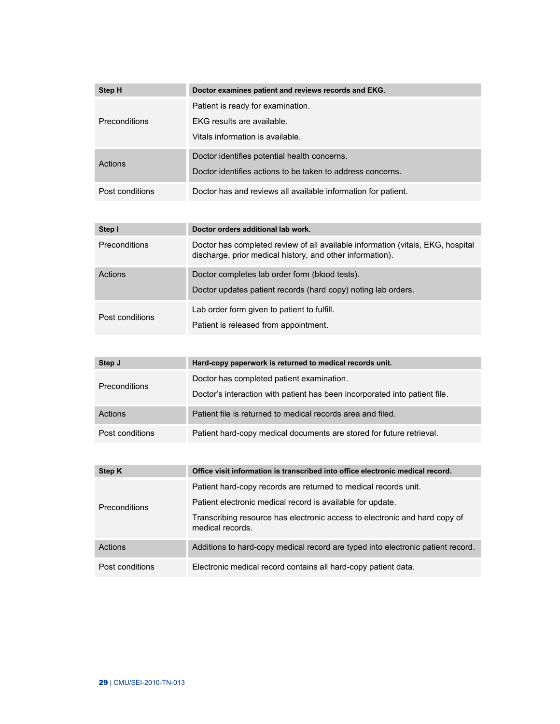| Step H               | Doctor examines patient and reviews records and EKG.                                                       |
|----------------------|------------------------------------------------------------------------------------------------------------|
| <b>Preconditions</b> | Patient is ready for examination.<br>EKG results are available.<br>Vitals information is available.        |
| Actions              | Doctor identifies potential health concerns.<br>Doctor identifies actions to be taken to address concerns. |
| Post conditions      | Doctor has and reviews all available information for patient.                                              |

| Step I               | Doctor orders additional lab work.                                                                                                           |
|----------------------|----------------------------------------------------------------------------------------------------------------------------------------------|
| <b>Preconditions</b> | Doctor has completed review of all available information (vitals, EKG, hospital<br>discharge, prior medical history, and other information). |
| Actions              | Doctor completes lab order form (blood tests).<br>Doctor updates patient records (hard copy) noting lab orders.                              |
| Post conditions      | Lab order form given to patient to fulfill.<br>Patient is released from appointment.                                                         |

| Step J               | Hard-copy paperwork is returned to medical records unit.                                                                |
|----------------------|-------------------------------------------------------------------------------------------------------------------------|
| <b>Preconditions</b> | Doctor has completed patient examination.<br>Doctor's interaction with patient has been incorporated into patient file. |
| Actions              | Patient file is returned to medical records area and filed.                                                             |
| Post conditions      | Patient hard-copy medical documents are stored for future retrieval.                                                    |

| Step K               | Office visit information is transcribed into office electronic medical record.                 |
|----------------------|------------------------------------------------------------------------------------------------|
| <b>Preconditions</b> | Patient hard-copy records are returned to medical records unit.                                |
|                      | Patient electronic medical record is available for update.                                     |
|                      | Transcribing resource has electronic access to electronic and hard copy of<br>medical records. |
| Actions              | Additions to hard-copy medical record are typed into electronic patient record.                |
| Post conditions      | Electronic medical record contains all hard-copy patient data.                                 |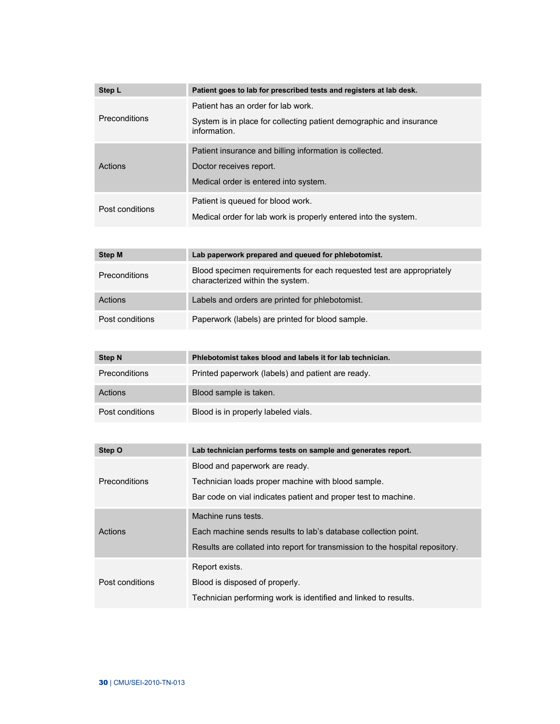| Step L          | Patient goes to lab for prescribed tests and registers at lab desk.                                       |
|-----------------|-----------------------------------------------------------------------------------------------------------|
| Preconditions   | Patient has an order for lab work.                                                                        |
|                 | System is in place for collecting patient demographic and insurance<br>information.                       |
|                 | Patient insurance and billing information is collected.                                                   |
| Actions         | Doctor receives report.                                                                                   |
|                 | Medical order is entered into system.                                                                     |
|                 | Patient is queued for blood work.                                                                         |
| Post conditions | Medical order for lab work is properly entered into the system.                                           |
|                 |                                                                                                           |
| <b>Step M</b>   | Lab paperwork prepared and queued for phlebotomist.                                                       |
| Preconditions   | Blood specimen requirements for each requested test are appropriately<br>characterized within the system. |
| Actions         | Labels and orders are printed for phlebotomist.                                                           |
| Post conditions | Paperwork (labels) are printed for blood sample.                                                          |
|                 |                                                                                                           |
| <b>Step N</b>   | Phlebotomist takes blood and labels it for lab technician.                                                |
| Preconditions   | Printed paperwork (labels) and patient are ready.                                                         |
| Actions         | Blood sample is taken.                                                                                    |
| Post conditions | Blood is in properly labeled vials.                                                                       |
|                 |                                                                                                           |
| Step O          | Lab technician performs tests on sample and generates report.                                             |
|                 | Blood and paperwork are ready.                                                                            |
| Preconditions   | Technician loads proper machine with blood sample.                                                        |
|                 | Bar code on vial indicates patient and proper test to machine.                                            |
|                 | Machine runs tests.                                                                                       |
| Actions         | Each machine sends results to lab's database collection point.                                            |
|                 | Results are collated into report for transmission to the hospital repository.                             |

Post conditions

Report exists.

Blood is disposed of properly.

Technician performing work is identified and linked to results.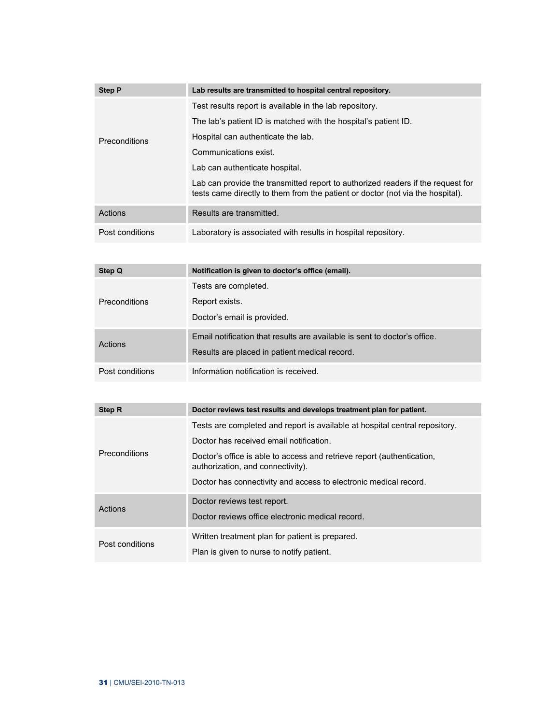| <b>Step P</b>        | Lab results are transmitted to hospital central repository.                                                                                                       |
|----------------------|-------------------------------------------------------------------------------------------------------------------------------------------------------------------|
|                      | Test results report is available in the lab repository.                                                                                                           |
|                      | The lab's patient ID is matched with the hospital's patient ID.                                                                                                   |
| <b>Preconditions</b> | Hospital can authenticate the lab.                                                                                                                                |
|                      | Communications exist.                                                                                                                                             |
|                      | Lab can authenticate hospital.                                                                                                                                    |
|                      | Lab can provide the transmitted report to authorized readers if the request for<br>tests came directly to them from the patient or doctor (not via the hospital). |
| Actions              | Results are transmitted.                                                                                                                                          |
| Post conditions      | Laboratory is associated with results in hospital repository.                                                                                                     |

| Step Q               | Notification is given to doctor's office (email).                                                                          |
|----------------------|----------------------------------------------------------------------------------------------------------------------------|
| <b>Preconditions</b> | Tests are completed.<br>Report exists.                                                                                     |
|                      | Doctor's email is provided.                                                                                                |
| Actions              | Email notification that results are available is sent to doctor's office.<br>Results are placed in patient medical record. |
| Post conditions      | Information notification is received.                                                                                      |

| Step R          | Doctor reviews test results and develops treatment plan for patient.                                        |
|-----------------|-------------------------------------------------------------------------------------------------------------|
| Preconditions   | Tests are completed and report is available at hospital central repository.                                 |
|                 | Doctor has received email notification.                                                                     |
|                 | Doctor's office is able to access and retrieve report (authentication,<br>authorization, and connectivity). |
|                 | Doctor has connectivity and access to electronic medical record.                                            |
| Actions         | Doctor reviews test report.                                                                                 |
|                 | Doctor reviews office electronic medical record.                                                            |
| Post conditions | Written treatment plan for patient is prepared.                                                             |
|                 | Plan is given to nurse to notify patient.                                                                   |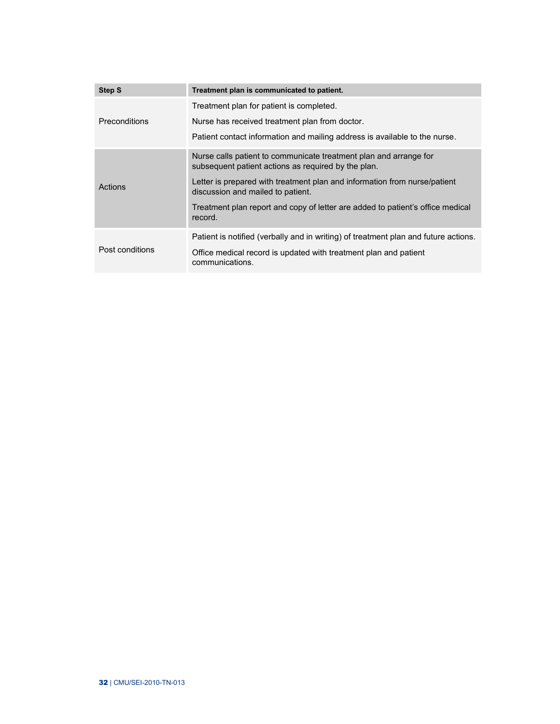| <b>Step S</b>        | Treatment plan is communicated to patient.                                                                               |  |  |  |  |
|----------------------|--------------------------------------------------------------------------------------------------------------------------|--|--|--|--|
|                      | Treatment plan for patient is completed.                                                                                 |  |  |  |  |
| <b>Preconditions</b> | Nurse has received treatment plan from doctor.                                                                           |  |  |  |  |
|                      | Patient contact information and mailing address is available to the nurse.                                               |  |  |  |  |
| Actions              | Nurse calls patient to communicate treatment plan and arrange for<br>subsequent patient actions as required by the plan. |  |  |  |  |
|                      | Letter is prepared with treatment plan and information from nurse/patient<br>discussion and mailed to patient.           |  |  |  |  |
|                      | Treatment plan report and copy of letter are added to patient's office medical<br>record.                                |  |  |  |  |
| Post conditions      | Patient is notified (verbally and in writing) of treatment plan and future actions.                                      |  |  |  |  |
|                      | Office medical record is updated with treatment plan and patient<br>communications.                                      |  |  |  |  |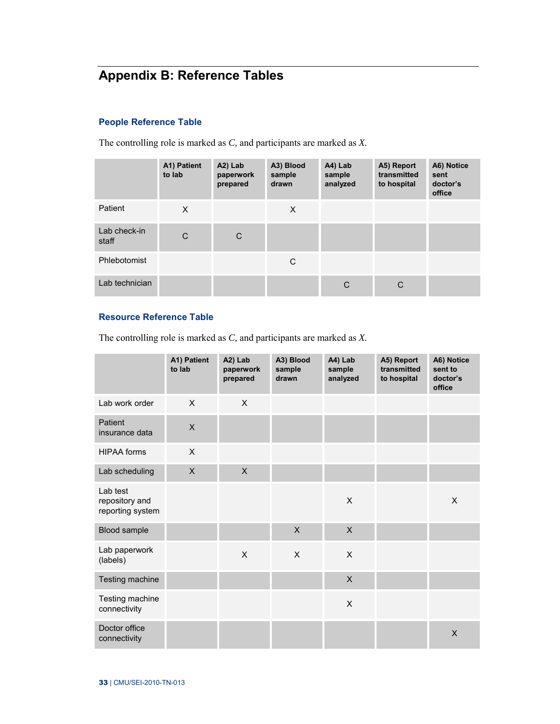# <span id="page-39-0"></span>**Appendix B: Reference Tables**

# **People Reference Table**

The controlling role is marked as *C,* and participants are marked as *X.*

|                       | A1) Patient<br>to lab | A2) Lab<br>paperwork<br>prepared | A3) Blood<br>sample<br>drawn | A4) Lab<br>sample<br>analyzed | A5) Report<br>transmitted<br>to hospital | A6) Notice<br>sent<br>doctor's<br>office |
|-----------------------|-----------------------|----------------------------------|------------------------------|-------------------------------|------------------------------------------|------------------------------------------|
| Patient               | X                     |                                  | X                            |                               |                                          |                                          |
| Lab check-in<br>staff | C                     | C                                |                              |                               |                                          |                                          |
| Phlebotomist          |                       |                                  | C                            |                               |                                          |                                          |
| Lab technician        |                       |                                  |                              | C                             | C                                        |                                          |

# **Resource Reference Table**

The controlling role is marked as *C,* and participants are marked as *X.*

|                                                | A1) Patient<br>to lab | A2) Lab<br>paperwork<br>prepared | A3) Blood<br>sample<br>drawn | A4) Lab<br>sample<br>analyzed | A5) Report<br>transmitted<br>to hospital | A6) Notice<br>sent to<br>doctor's<br>office |
|------------------------------------------------|-----------------------|----------------------------------|------------------------------|-------------------------------|------------------------------------------|---------------------------------------------|
| Lab work order                                 | X                     | $\mathsf{X}$                     |                              |                               |                                          |                                             |
| Patient<br>insurance data                      | $\sf X$               |                                  |                              |                               |                                          |                                             |
| <b>HIPAA</b> forms                             | X                     |                                  |                              |                               |                                          |                                             |
| Lab scheduling                                 | $\mathsf{X}$          | $\times$                         |                              |                               |                                          |                                             |
| Lab test<br>repository and<br>reporting system |                       |                                  |                              | X                             |                                          | X                                           |
| Blood sample                                   |                       |                                  | $\mathsf{X}$                 | $\mathsf{X}$                  |                                          |                                             |
| Lab paperwork<br>(labels)                      |                       | X                                | X                            | X                             |                                          |                                             |
| Testing machine                                |                       |                                  |                              | $\mathsf{X}$                  |                                          |                                             |
| Testing machine<br>connectivity                |                       |                                  |                              | X                             |                                          |                                             |
| Doctor office<br>connectivity                  |                       |                                  |                              |                               |                                          | X                                           |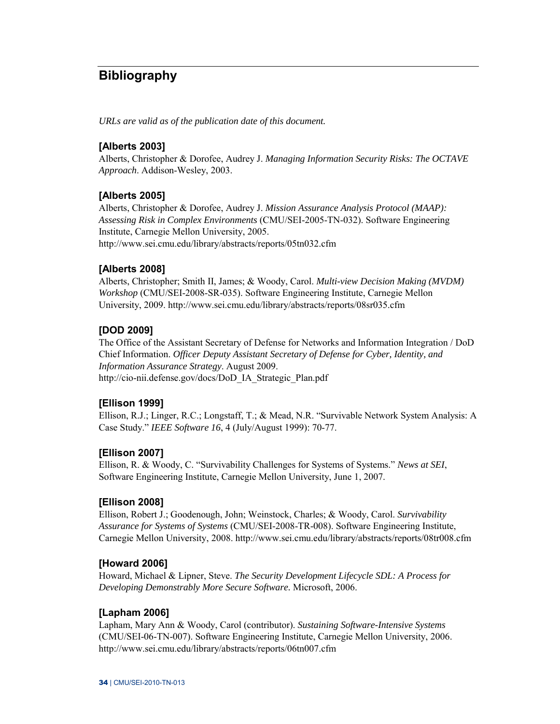# <span id="page-40-0"></span>**Bibliography**

*URLs are valid as of the publication date of this document.* 

# **[Alberts 2003]**

Alberts, Christopher & Dorofee, Audrey J. *Managing Information Security Risks: The OCTAVE Approach*. Addison-Wesley, 2003.

# **[Alberts 2005]**

Alberts, Christopher & Dorofee, Audrey J. *Mission Assurance Analysis Protocol (MAAP): Assessing Risk in Complex Environments* (CMU/SEI-2005-TN-032). Software Engineering Institute, Carnegie Mellon University, 2005. <http://www.sei.cmu.edu/library/abstracts/reports/05tn032.cfm>

# **[Alberts 2008]**

Alberts, Christopher; Smith II, James; & Woody, Carol. *Multi-view Decision Making (MVDM) Workshop* (CMU/SEI-2008-SR-035). Software Engineering Institute, Carnegie Mellon University, 2009. <http://www.sei.cmu.edu/library/abstracts/reports/08sr035.cfm>

# **[DOD 2009]**

The Office of the Assistant Secretary of Defense for Networks and Information Integration / DoD Chief Information. *Officer Deputy Assistant Secretary of Defense for Cyber, Identity, and Information Assurance Strategy*. August 2009. [http://cio-nii.defense.gov/docs/DoD\\_IA\\_Strategic\\_Plan.pdf](http://cio-nii.defense.gov/docs/DoD_IA_Strategic_Plan.pdf) 

# **[Ellison 1999]**

Ellison, R.J.; Linger, R.C.; Longstaff, T.; & Mead, N.R. "Survivable Network System Analysis: A Case Study." *IEEE Software 16*, 4 (July/August 1999): 70-77.

# **[Ellison 2007]**

Ellison, R. & Woody, C. "Survivability Challenges for Systems of Systems." *News at SEI*, Software Engineering Institute, Carnegie Mellon University, June 1, 2007.

# **[Ellison 2008]**

Ellison, Robert J.; Goodenough, John; Weinstock, Charles; & Woody, Carol. *Survivability Assurance for Systems of Systems* (CMU/SEI-2008-TR-008). Software Engineering Institute, Carnegie Mellon University, 2008.<http://www.sei.cmu.edu/library/abstracts/reports/08tr008.cfm>

# **[Howard 2006]**

Howard, Michael & Lipner, Steve. *The Security Development Lifecycle SDL: A Process for Developing Demonstrably More Secure Software.* Microsoft, 2006.

# **[Lapham 2006]**

Lapham, Mary Ann & Woody, Carol (contributor). *Sustaining Software-Intensive Systems* (CMU/SEI-06-TN-007). Software Engineering Institute, Carnegie Mellon University, 2006. <http://www.sei.cmu.edu/library/abstracts/reports/06tn007.cfm>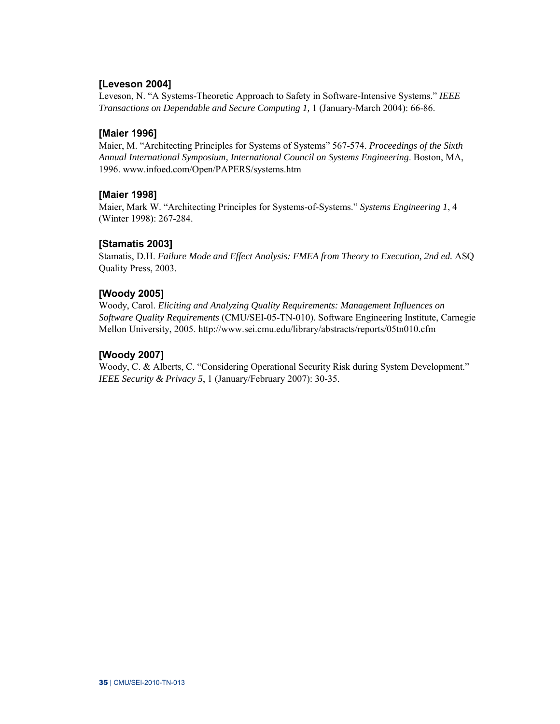# **[Leveson 2004]**

Leveson, N. "A Systems-Theoretic Approach to Safety in Software-Intensive Systems." *IEEE Transactions on Dependable and Secure Computing 1,* 1 (January-March 2004): 66-86.

# **[Maier 1996]**

Maier, M. "Architecting Principles for Systems of Systems" 567-574. *Proceedings of the Sixth Annual International Symposium, International Council on Systems Engineering*. Boston, MA, 1996. [www.infoed.com/Open/PAPERS/systems.htm](http://www.infoed.com/Open/PAPERS/systems.htm)

# **[Maier 1998]**

Maier, Mark W. ["Architecting Principles for Systems-of-Systems.](http://www.infoed.com/Open/PAPERS/systems.htm)" *Systems Engineering 1*, 4 (Winter 1998): 267-284.

# **[Stamatis 2003]**

Stamatis, D.H. *Failure Mode and Effect Analysis: FMEA from Theory to Execution, 2nd ed.* ASQ Quality Press, 2003.

# **[Woody 2005]**

Woody, Carol. *Eliciting and Analyzing Quality Requirements: Management Influences on Software Quality Requirements* (CMU/SEI-05-TN-010). Software Engineering Institute, Carnegie Mellon University, 2005. <http://www.sei.cmu.edu/library/abstracts/reports/05tn010.cfm>

# **[Woody 2007]**

Woody, C. & Alberts, C. "Considering Operational Security Risk during System Development." *IEEE Security & Privacy 5*, 1 (January/February 2007): 30-35.